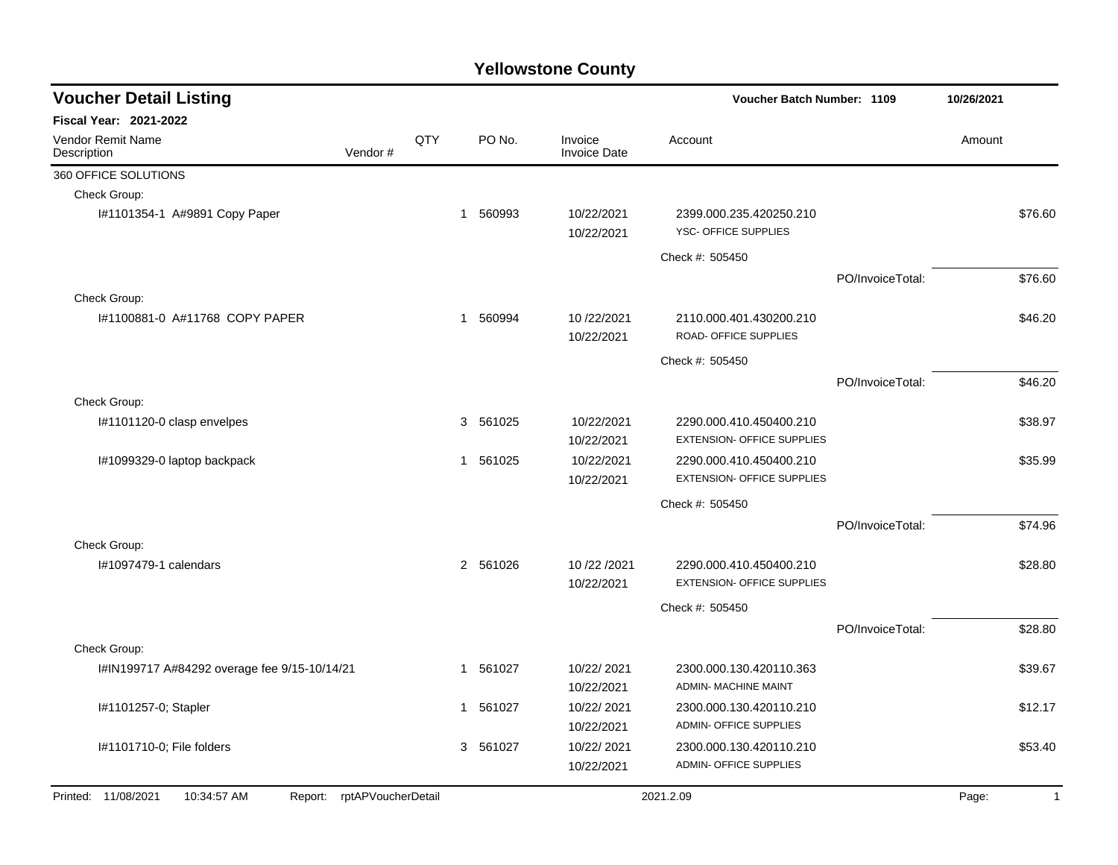| <b>Voucher Detail Listing</b>                                    |     |                        |                                |                                                              | Voucher Batch Number: 1109 |        |                |
|------------------------------------------------------------------|-----|------------------------|--------------------------------|--------------------------------------------------------------|----------------------------|--------|----------------|
| <b>Fiscal Year: 2021-2022</b>                                    |     |                        |                                |                                                              |                            |        |                |
| Vendor Remit Name<br>Vendor#<br>Description                      | QTY | PO No.                 | Invoice<br><b>Invoice Date</b> | Account                                                      |                            | Amount |                |
| 360 OFFICE SOLUTIONS                                             |     |                        |                                |                                                              |                            |        |                |
| Check Group:                                                     |     |                        |                                |                                                              |                            |        |                |
| I#1101354-1 A#9891 Copy Paper                                    |     | 560993<br>$\mathbf{1}$ | 10/22/2021<br>10/22/2021       | 2399.000.235.420250.210<br>YSC- OFFICE SUPPLIES              |                            |        | \$76.60        |
|                                                                  |     |                        |                                | Check #: 505450                                              |                            |        |                |
|                                                                  |     |                        |                                |                                                              | PO/InvoiceTotal:           |        | \$76.60        |
| Check Group:                                                     |     |                        |                                |                                                              |                            |        |                |
| #1100881-0 A#11768 COPY PAPER                                    | 1   | 560994                 | 10/22/2021<br>10/22/2021       | 2110.000.401.430200.210<br>ROAD- OFFICE SUPPLIES             |                            |        | \$46.20        |
|                                                                  |     |                        |                                | Check #: 505450                                              |                            |        |                |
|                                                                  |     |                        |                                |                                                              | PO/InvoiceTotal:           |        | \$46.20        |
| Check Group:                                                     |     |                        |                                |                                                              |                            |        |                |
| I#1101120-0 clasp envelpes                                       |     | 3 561025               | 10/22/2021<br>10/22/2021       | 2290.000.410.450400.210<br><b>EXTENSION- OFFICE SUPPLIES</b> |                            |        | \$38.97        |
| I#1099329-0 laptop backpack                                      | 1   | 561025                 | 10/22/2021<br>10/22/2021       | 2290.000.410.450400.210<br><b>EXTENSION- OFFICE SUPPLIES</b> |                            |        | \$35.99        |
|                                                                  |     |                        |                                | Check #: 505450                                              |                            |        |                |
|                                                                  |     |                        |                                |                                                              | PO/InvoiceTotal:           |        | \$74.96        |
| Check Group:                                                     |     |                        |                                |                                                              |                            |        |                |
| #1097479-1 calendars                                             |     | 2 561026               | 10/22/2021<br>10/22/2021       | 2290.000.410.450400.210<br><b>EXTENSION- OFFICE SUPPLIES</b> |                            |        | \$28.80        |
|                                                                  |     |                        |                                | Check #: 505450                                              |                            |        |                |
|                                                                  |     |                        |                                |                                                              | PO/InvoiceTotal:           |        | \$28.80        |
| Check Group:                                                     |     |                        |                                |                                                              |                            |        |                |
| I#IN199717 A#84292 overage fee 9/15-10/14/21                     |     | 561027<br>$\mathbf{1}$ | 10/22/2021<br>10/22/2021       | 2300.000.130.420110.363<br><b>ADMIN- MACHINE MAINT</b>       |                            |        | \$39.67        |
| I#1101257-0; Stapler                                             |     | 561027<br>1            | 10/22/2021<br>10/22/2021       | 2300.000.130.420110.210<br><b>ADMIN- OFFICE SUPPLIES</b>     |                            |        | \$12.17        |
| I#1101710-0; File folders                                        |     | 3 561027               | 10/22/2021<br>10/22/2021       | 2300.000.130.420110.210<br><b>ADMIN- OFFICE SUPPLIES</b>     |                            |        | \$53.40        |
| 10:34:57 AM<br>Report: rptAPVoucherDetail<br>Printed: 11/08/2021 |     |                        |                                | 2021.2.09                                                    |                            | Page:  | $\overline{1}$ |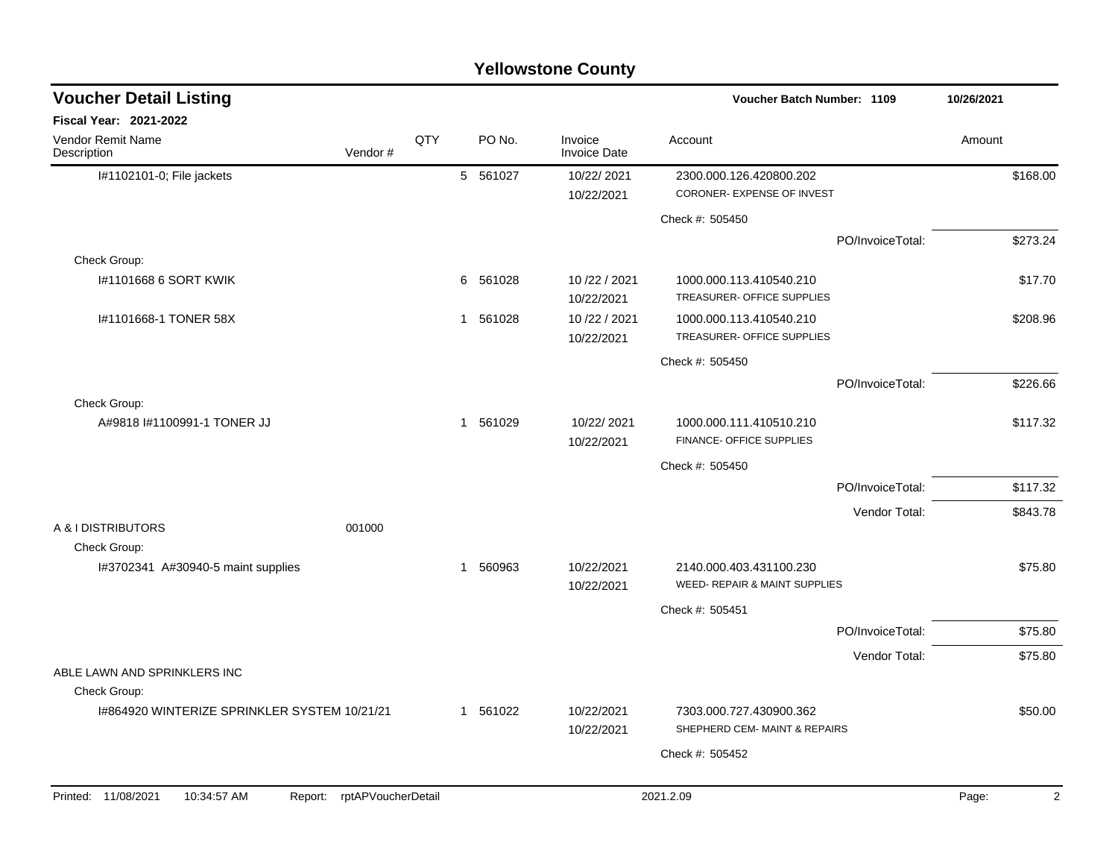| <b>Voucher Detail Listing</b>                |                            |     |   | <b>Voucher Batch Number: 1109</b> |                                |                                                          |                  | 10/26/2021 |          |
|----------------------------------------------|----------------------------|-----|---|-----------------------------------|--------------------------------|----------------------------------------------------------|------------------|------------|----------|
| Fiscal Year: 2021-2022                       |                            |     |   |                                   |                                |                                                          |                  |            |          |
| Vendor Remit Name<br>Description             | Vendor#                    | QTY |   | PO No.                            | Invoice<br><b>Invoice Date</b> | Account                                                  |                  | Amount     |          |
| I#1102101-0; File jackets                    |                            |     |   | 5 561027                          | 10/22/2021                     | 2300.000.126.420800.202                                  |                  |            | \$168.00 |
|                                              |                            |     |   |                                   | 10/22/2021                     | CORONER- EXPENSE OF INVEST                               |                  |            |          |
|                                              |                            |     |   |                                   |                                | Check #: 505450                                          |                  |            |          |
|                                              |                            |     |   |                                   |                                |                                                          | PO/InvoiceTotal: |            | \$273.24 |
| Check Group:                                 |                            |     |   |                                   |                                |                                                          |                  |            |          |
| I#1101668 6 SORT KWIK                        |                            |     | 6 | 561028                            | 10/22/2021<br>10/22/2021       | 1000.000.113.410540.210<br>TREASURER- OFFICE SUPPLIES    |                  |            | \$17.70  |
| I#1101668-1 TONER 58X                        |                            |     | 1 | 561028                            | 10/22/2021<br>10/22/2021       | 1000.000.113.410540.210<br>TREASURER- OFFICE SUPPLIES    |                  |            | \$208.96 |
|                                              |                            |     |   |                                   |                                | Check #: 505450                                          |                  |            |          |
|                                              |                            |     |   |                                   |                                |                                                          | PO/InvoiceTotal: |            | \$226.66 |
| Check Group:                                 |                            |     |   |                                   |                                |                                                          |                  |            |          |
| A#9818 #1100991-1 TONER JJ                   |                            |     |   | 1 561029                          | 10/22/2021<br>10/22/2021       | 1000.000.111.410510.210<br>FINANCE- OFFICE SUPPLIES      |                  |            | \$117.32 |
|                                              |                            |     |   |                                   |                                | Check #: 505450                                          |                  |            |          |
|                                              |                            |     |   |                                   |                                |                                                          | PO/InvoiceTotal: |            | \$117.32 |
|                                              |                            |     |   |                                   |                                |                                                          | Vendor Total:    |            | \$843.78 |
| A & I DISTRIBUTORS                           | 001000                     |     |   |                                   |                                |                                                          |                  |            |          |
| Check Group:                                 |                            |     |   |                                   |                                |                                                          |                  |            |          |
| I#3702341 A#30940-5 maint supplies           |                            |     | 1 | 560963                            | 10/22/2021<br>10/22/2021       | 2140.000.403.431100.230<br>WEED- REPAIR & MAINT SUPPLIES |                  |            | \$75.80  |
|                                              |                            |     |   |                                   |                                | Check #: 505451                                          |                  |            |          |
|                                              |                            |     |   |                                   |                                |                                                          | PO/InvoiceTotal: |            | \$75.80  |
|                                              |                            |     |   |                                   |                                |                                                          | Vendor Total:    |            | \$75.80  |
| ABLE LAWN AND SPRINKLERS INC<br>Check Group: |                            |     |   |                                   |                                |                                                          |                  |            |          |
| 1#864920 WINTERIZE SPRINKLER SYSTEM 10/21/21 |                            |     |   | 1 561022                          | 10/22/2021                     | 7303.000.727.430900.362                                  |                  |            | \$50.00  |
|                                              |                            |     |   |                                   | 10/22/2021                     | SHEPHERD CEM- MAINT & REPAIRS                            |                  |            |          |
|                                              |                            |     |   |                                   |                                | Check #: 505452                                          |                  |            |          |
|                                              |                            |     |   |                                   |                                |                                                          |                  |            |          |
| Printed: 11/08/2021<br>10:34:57 AM           | Report: rptAPVoucherDetail |     |   |                                   |                                | 2021.2.09                                                |                  | Page:      | 2        |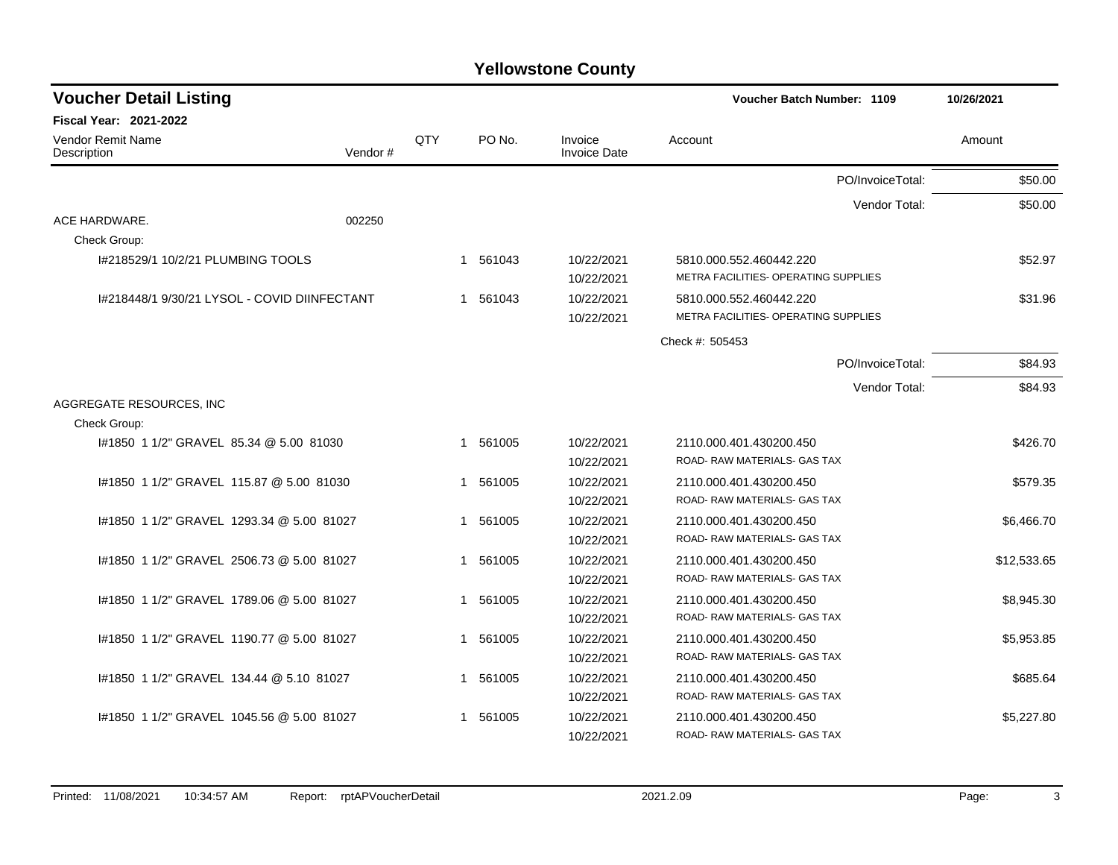| <b>Voucher Detail Listing</b>                |         |     |             |                                | Voucher Batch Number: 1109           | 10/26/2021  |
|----------------------------------------------|---------|-----|-------------|--------------------------------|--------------------------------------|-------------|
| <b>Fiscal Year: 2021-2022</b>                |         |     |             |                                |                                      |             |
| Vendor Remit Name<br>Description             | Vendor# | QTY | PO No.      | Invoice<br><b>Invoice Date</b> | Account                              | Amount      |
|                                              |         |     |             |                                | PO/InvoiceTotal:                     | \$50.00     |
|                                              |         |     |             |                                | Vendor Total:                        | \$50.00     |
| ACE HARDWARE.                                | 002250  |     |             |                                |                                      |             |
| Check Group:                                 |         |     |             |                                |                                      |             |
| I#218529/1 10/2/21 PLUMBING TOOLS            |         |     | 1 561043    | 10/22/2021                     | 5810.000.552.460442.220              | \$52.97     |
|                                              |         |     |             | 10/22/2021                     | METRA FACILITIES- OPERATING SUPPLIES |             |
| 1#218448/1 9/30/21 LYSOL - COVID DIINFECTANT |         |     | 561043<br>1 | 10/22/2021                     | 5810.000.552.460442.220              | \$31.96     |
|                                              |         |     |             | 10/22/2021                     | METRA FACILITIES- OPERATING SUPPLIES |             |
|                                              |         |     |             |                                | Check #: 505453                      |             |
|                                              |         |     |             |                                | PO/InvoiceTotal:                     | \$84.93     |
|                                              |         |     |             |                                | Vendor Total:                        | \$84.93     |
| AGGREGATE RESOURCES, INC                     |         |     |             |                                |                                      |             |
| Check Group:                                 |         |     |             |                                |                                      |             |
| #1850 1 1/2" GRAVEL 85.34 @ 5.00 81030       |         |     | 1 561005    | 10/22/2021                     | 2110.000.401.430200.450              | \$426.70    |
|                                              |         |     |             | 10/22/2021                     | ROAD-RAW MATERIALS- GAS TAX          |             |
| #1850 1 1/2" GRAVEL 115.87 @ 5.00 81030      |         |     | 561005<br>1 | 10/22/2021                     | 2110.000.401.430200.450              | \$579.35    |
|                                              |         |     |             | 10/22/2021                     | ROAD- RAW MATERIALS- GAS TAX         |             |
| I#1850 1 1/2" GRAVEL 1293.34 @ 5.00 81027    |         |     | 561005<br>1 | 10/22/2021                     | 2110.000.401.430200.450              | \$6,466.70  |
|                                              |         |     |             | 10/22/2021                     | ROAD-RAW MATERIALS- GAS TAX          |             |
| #1850 1 1/2" GRAVEL 2506.73 @ 5.00 81027     |         |     | 561005<br>1 | 10/22/2021                     | 2110.000.401.430200.450              | \$12,533.65 |
|                                              |         |     |             | 10/22/2021                     | ROAD-RAW MATERIALS- GAS TAX          |             |
| I#1850 1 1/2" GRAVEL 1789.06 @ 5.00 81027    |         |     | 561005<br>1 | 10/22/2021                     | 2110.000.401.430200.450              | \$8,945.30  |
|                                              |         |     |             | 10/22/2021                     | ROAD-RAW MATERIALS- GAS TAX          |             |
| #1850 1 1/2" GRAVEL 1190.77 @ 5.00 81027     |         |     | 561005<br>1 | 10/22/2021                     | 2110.000.401.430200.450              | \$5,953.85  |
|                                              |         |     |             | 10/22/2021                     | ROAD-RAW MATERIALS-GAS TAX           |             |
| I#1850 1 1/2" GRAVEL 134.44 @ 5.10 81027     |         |     | 1 561005    | 10/22/2021                     | 2110.000.401.430200.450              | \$685.64    |
|                                              |         |     |             | 10/22/2021                     | ROAD-RAW MATERIALS-GAS TAX           |             |
| #1850 1 1/2" GRAVEL 1045.56 @ 5.00 81027     |         |     | 561005<br>1 | 10/22/2021                     | 2110.000.401.430200.450              | \$5,227.80  |
|                                              |         |     |             | 10/22/2021                     | ROAD-RAW MATERIALS-GAS TAX           |             |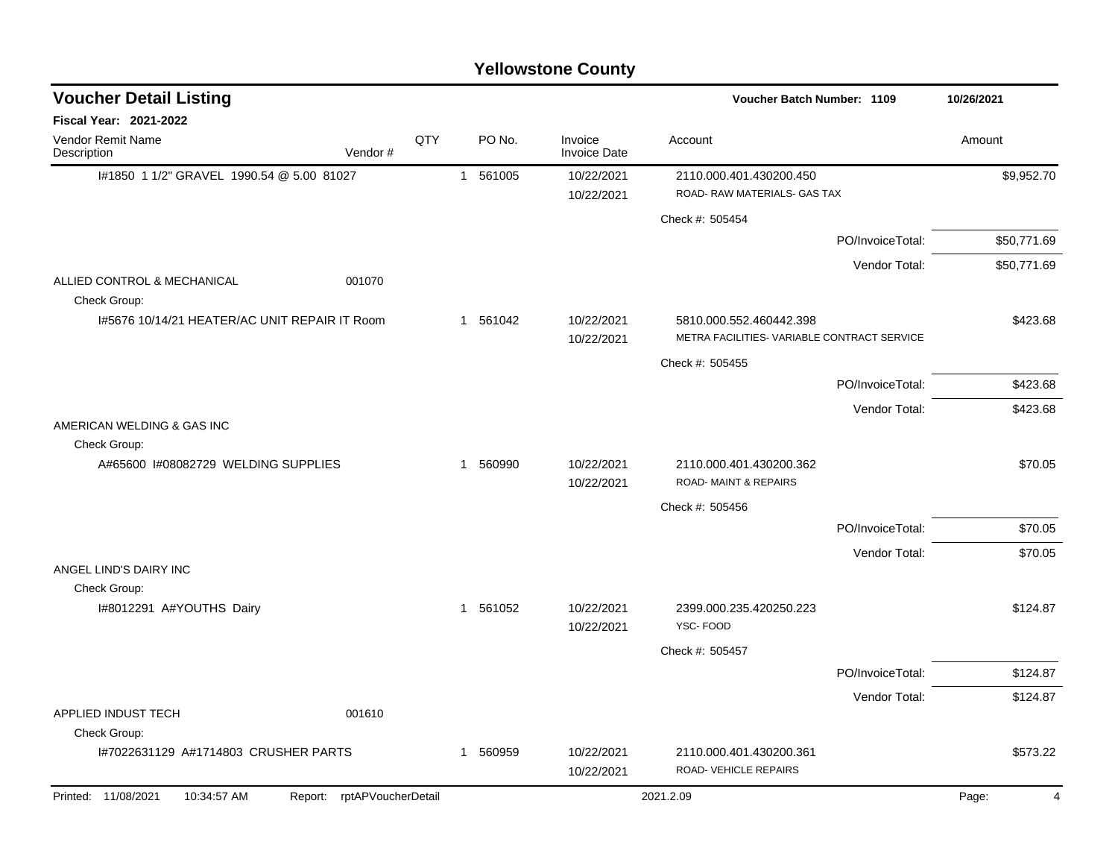| <b>Voucher Detail Listing</b>                 |                            |     |          |                                | <b>Voucher Batch Number: 1109</b>                                      |                  | 10/26/2021  |
|-----------------------------------------------|----------------------------|-----|----------|--------------------------------|------------------------------------------------------------------------|------------------|-------------|
| <b>Fiscal Year: 2021-2022</b>                 |                            |     |          |                                |                                                                        |                  |             |
| Vendor Remit Name<br>Description              | Vendor#                    | QTY | PO No.   | Invoice<br><b>Invoice Date</b> | Account                                                                |                  | Amount      |
| I#1850 1 1/2" GRAVEL 1990.54 @ 5.00 81027     |                            |     | 1 561005 | 10/22/2021                     | 2110.000.401.430200.450                                                |                  | \$9,952.70  |
|                                               |                            |     |          | 10/22/2021                     | ROAD- RAW MATERIALS- GAS TAX                                           |                  |             |
|                                               |                            |     |          |                                | Check #: 505454                                                        |                  |             |
|                                               |                            |     |          |                                |                                                                        | PO/InvoiceTotal: | \$50,771.69 |
|                                               |                            |     |          |                                |                                                                        | Vendor Total:    | \$50,771.69 |
| ALLIED CONTROL & MECHANICAL<br>Check Group:   | 001070                     |     |          |                                |                                                                        |                  |             |
| 1#5676 10/14/21 HEATER/AC UNIT REPAIR IT Room |                            |     | 1 561042 | 10/22/2021<br>10/22/2021       | 5810.000.552.460442.398<br>METRA FACILITIES- VARIABLE CONTRACT SERVICE |                  | \$423.68    |
|                                               |                            |     |          |                                | Check #: 505455                                                        |                  |             |
|                                               |                            |     |          |                                |                                                                        | PO/InvoiceTotal: | \$423.68    |
|                                               |                            |     |          |                                |                                                                        | Vendor Total:    | \$423.68    |
| AMERICAN WELDING & GAS INC<br>Check Group:    |                            |     |          |                                |                                                                        |                  |             |
| A#65600 I#08082729 WELDING SUPPLIES           |                            |     | 1 560990 | 10/22/2021<br>10/22/2021       | 2110.000.401.430200.362<br><b>ROAD-MAINT &amp; REPAIRS</b>             |                  | \$70.05     |
|                                               |                            |     |          |                                | Check #: 505456                                                        |                  |             |
|                                               |                            |     |          |                                |                                                                        | PO/InvoiceTotal: | \$70.05     |
|                                               |                            |     |          |                                |                                                                        | Vendor Total:    | \$70.05     |
| ANGEL LIND'S DAIRY INC                        |                            |     |          |                                |                                                                        |                  |             |
| Check Group:<br>I#8012291 A#YOUTHS Dairy      |                            |     | 1 561052 | 10/22/2021                     | 2399.000.235.420250.223                                                |                  | \$124.87    |
|                                               |                            |     |          | 10/22/2021                     | YSC-FOOD                                                               |                  |             |
|                                               |                            |     |          |                                | Check #: 505457                                                        |                  |             |
|                                               |                            |     |          |                                |                                                                        | PO/InvoiceTotal: | \$124.87    |
|                                               |                            |     |          |                                |                                                                        | Vendor Total:    | \$124.87    |
| APPLIED INDUST TECH                           | 001610                     |     |          |                                |                                                                        |                  |             |
| Check Group:                                  |                            |     |          |                                |                                                                        |                  |             |
| I#7022631129 A#1714803 CRUSHER PARTS          |                            |     | 1 560959 | 10/22/2021<br>10/22/2021       | 2110.000.401.430200.361<br>ROAD-VEHICLE REPAIRS                        |                  | \$573.22    |
| Printed: 11/08/2021<br>10:34:57 AM            | Report: rptAPVoucherDetail |     |          |                                | 2021.2.09                                                              |                  | Page:<br>4  |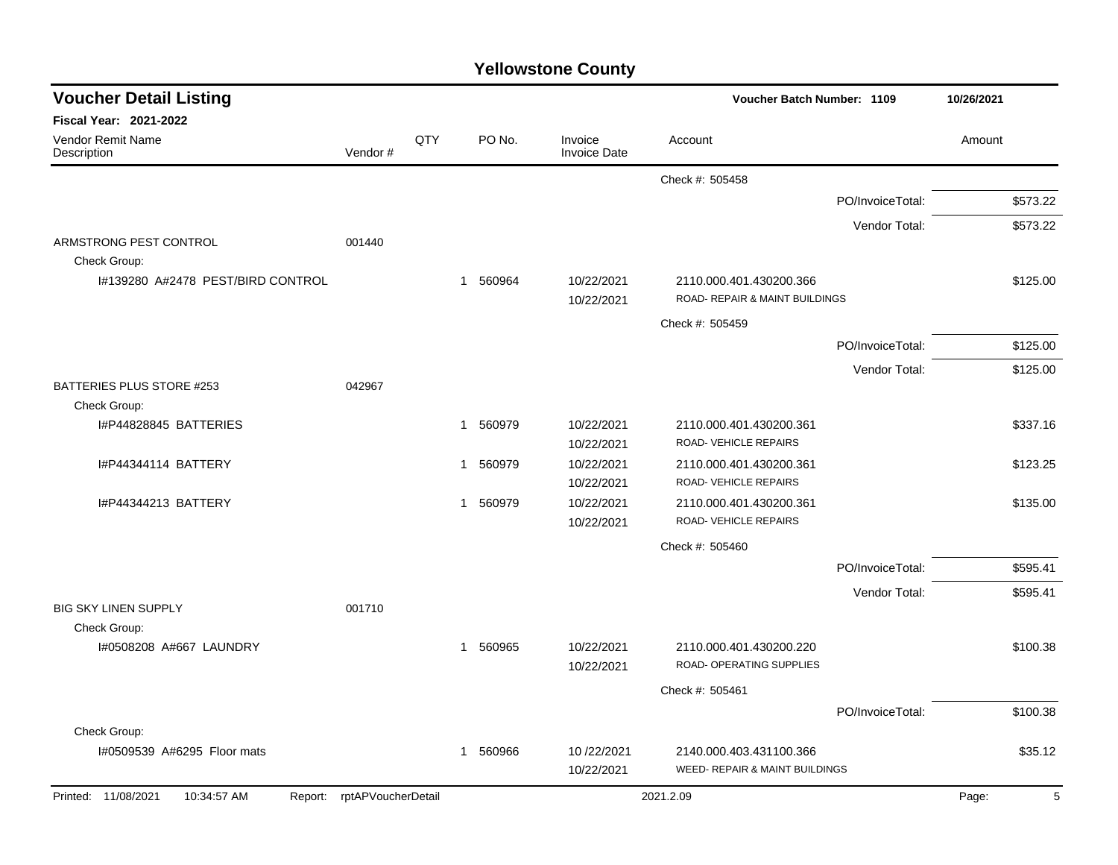| <b>Yellowstone County</b> |  |
|---------------------------|--|
|---------------------------|--|

| <b>Voucher Detail Listing</b>                     |                            |     |                        |                                | Voucher Batch Number: 1109                                |                  | 10/26/2021           |
|---------------------------------------------------|----------------------------|-----|------------------------|--------------------------------|-----------------------------------------------------------|------------------|----------------------|
| <b>Fiscal Year: 2021-2022</b>                     |                            |     |                        |                                |                                                           |                  |                      |
| Vendor Remit Name<br>Description                  | Vendor#                    | QTY | PO No.                 | Invoice<br><b>Invoice Date</b> | Account                                                   |                  | Amount               |
|                                                   |                            |     |                        |                                | Check #: 505458                                           |                  |                      |
|                                                   |                            |     |                        |                                |                                                           | PO/InvoiceTotal: | \$573.22             |
|                                                   |                            |     |                        |                                |                                                           | Vendor Total:    | \$573.22             |
| ARMSTRONG PEST CONTROL                            | 001440                     |     |                        |                                |                                                           |                  |                      |
| Check Group:<br>I#139280 A#2478 PEST/BIRD CONTROL |                            |     | 560964<br>$\mathbf{1}$ | 10/22/2021<br>10/22/2021       | 2110.000.401.430200.366<br>ROAD- REPAIR & MAINT BUILDINGS |                  | \$125.00             |
|                                                   |                            |     |                        |                                | Check #: 505459                                           |                  |                      |
|                                                   |                            |     |                        |                                |                                                           | PO/InvoiceTotal: | \$125.00             |
|                                                   |                            |     |                        |                                |                                                           | Vendor Total:    | \$125.00             |
| <b>BATTERIES PLUS STORE #253</b><br>Check Group:  | 042967                     |     |                        |                                |                                                           |                  |                      |
| I#P44828845 BATTERIES                             |                            |     | 560979<br>1            | 10/22/2021<br>10/22/2021       | 2110.000.401.430200.361<br>ROAD-VEHICLE REPAIRS           |                  | \$337.16             |
| I#P44344114 BATTERY                               |                            |     | 560979<br>$\mathbf 1$  | 10/22/2021<br>10/22/2021       | 2110.000.401.430200.361<br>ROAD-VEHICLE REPAIRS           |                  | \$123.25             |
| I#P44344213 BATTERY                               |                            |     | 560979<br>$\mathbf{1}$ | 10/22/2021<br>10/22/2021       | 2110.000.401.430200.361<br>ROAD- VEHICLE REPAIRS          |                  | \$135.00             |
|                                                   |                            |     |                        |                                | Check #: 505460                                           |                  |                      |
|                                                   |                            |     |                        |                                |                                                           | PO/InvoiceTotal: | \$595.41             |
|                                                   |                            |     |                        |                                |                                                           | Vendor Total:    | \$595.41             |
| <b>BIG SKY LINEN SUPPLY</b>                       | 001710                     |     |                        |                                |                                                           |                  |                      |
| Check Group:<br>1#0508208 A#667 LAUNDRY           |                            |     | 560965<br>1            | 10/22/2021<br>10/22/2021       | 2110.000.401.430200.220<br>ROAD- OPERATING SUPPLIES       |                  | \$100.38             |
|                                                   |                            |     |                        |                                | Check #: 505461                                           |                  |                      |
|                                                   |                            |     |                        |                                |                                                           | PO/InvoiceTotal: | \$100.38             |
| Check Group:                                      |                            |     |                        |                                |                                                           |                  |                      |
| I#0509539 A#6295 Floor mats                       |                            |     | 560966<br>1            | 10/22/2021<br>10/22/2021       | 2140.000.403.431100.366<br>WEED- REPAIR & MAINT BUILDINGS |                  | \$35.12              |
| Printed: 11/08/2021<br>10:34:57 AM                | Report: rptAPVoucherDetail |     |                        |                                | 2021.2.09                                                 |                  | $\,$ 5 $\,$<br>Page: |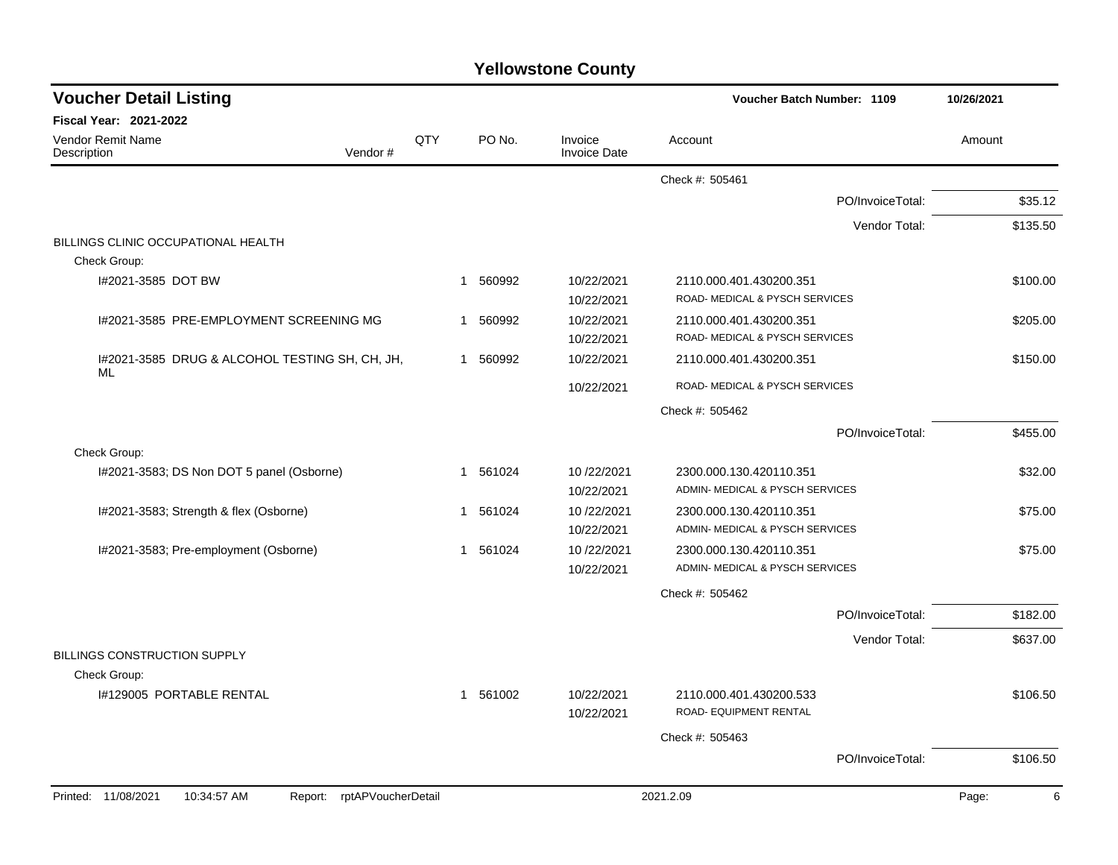|  | <b>Yellowstone County</b> |  |
|--|---------------------------|--|
|--|---------------------------|--|

| <b>Voucher Detail Listing</b>                                       |     |                       |                                | <b>Voucher Batch Number: 1109</b>                         | 10/26/2021 |
|---------------------------------------------------------------------|-----|-----------------------|--------------------------------|-----------------------------------------------------------|------------|
| <b>Fiscal Year: 2021-2022</b>                                       |     |                       |                                |                                                           |            |
| Vendor Remit Name<br>Vendor#<br>Description                         | QTY | PO No.                | Invoice<br><b>Invoice Date</b> | Account                                                   | Amount     |
|                                                                     |     |                       |                                | Check #: 505461                                           |            |
|                                                                     |     |                       |                                | PO/InvoiceTotal:                                          | \$35.12    |
|                                                                     |     |                       |                                | Vendor Total:                                             | \$135.50   |
| BILLINGS CLINIC OCCUPATIONAL HEALTH                                 |     |                       |                                |                                                           |            |
| Check Group:                                                        |     |                       |                                |                                                           |            |
| I#2021-3585 DOT BW                                                  |     | 560992<br>$\mathbf 1$ | 10/22/2021<br>10/22/2021       | 2110.000.401.430200.351<br>ROAD- MEDICAL & PYSCH SERVICES | \$100.00   |
| I#2021-3585 PRE-EMPLOYMENT SCREENING MG                             |     | 1 560992              | 10/22/2021                     | 2110.000.401.430200.351                                   | \$205.00   |
|                                                                     |     |                       | 10/22/2021                     | ROAD- MEDICAL & PYSCH SERVICES                            |            |
| I#2021-3585 DRUG & ALCOHOL TESTING SH, CH, JH,<br>ML                |     | 1 560992              | 10/22/2021                     | 2110.000.401.430200.351                                   | \$150.00   |
|                                                                     |     |                       | 10/22/2021                     | ROAD- MEDICAL & PYSCH SERVICES                            |            |
|                                                                     |     |                       |                                | Check #: 505462                                           |            |
|                                                                     |     |                       |                                | PO/InvoiceTotal:                                          | \$455.00   |
| Check Group:                                                        |     |                       |                                |                                                           |            |
| I#2021-3583; DS Non DOT 5 panel (Osborne)                           |     | 561024<br>-1          | 10/22/2021                     | 2300.000.130.420110.351                                   | \$32.00    |
|                                                                     |     |                       | 10/22/2021                     | ADMIN- MEDICAL & PYSCH SERVICES                           |            |
| I#2021-3583; Strength & flex (Osborne)                              |     | 561024<br>-1          | 10/22/2021                     | 2300.000.130.420110.351                                   | \$75.00    |
|                                                                     |     |                       | 10/22/2021                     | ADMIN- MEDICAL & PYSCH SERVICES                           |            |
| I#2021-3583; Pre-employment (Osborne)                               |     | 561024<br>1           | 10/22/2021                     | 2300.000.130.420110.351                                   | \$75.00    |
|                                                                     |     |                       | 10/22/2021                     | ADMIN- MEDICAL & PYSCH SERVICES                           |            |
|                                                                     |     |                       |                                | Check #: 505462                                           |            |
|                                                                     |     |                       |                                | PO/InvoiceTotal:                                          | \$182.00   |
|                                                                     |     |                       |                                | Vendor Total:                                             | \$637.00   |
| BILLINGS CONSTRUCTION SUPPLY                                        |     |                       |                                |                                                           |            |
| Check Group:                                                        |     |                       |                                |                                                           |            |
| 1#129005 PORTABLE RENTAL                                            |     | 1 561002              | 10/22/2021<br>10/22/2021       | 2110.000.401.430200.533<br>ROAD- EQUIPMENT RENTAL         | \$106.50   |
|                                                                     |     |                       |                                | Check #: 505463                                           |            |
|                                                                     |     |                       |                                | PO/InvoiceTotal:                                          | \$106.50   |
|                                                                     |     |                       |                                |                                                           |            |
| Printed: 11/08/2021<br>10:34:57 AM<br>rptAPVoucherDetail<br>Report: |     |                       |                                | 2021.2.09                                                 | Page:<br>6 |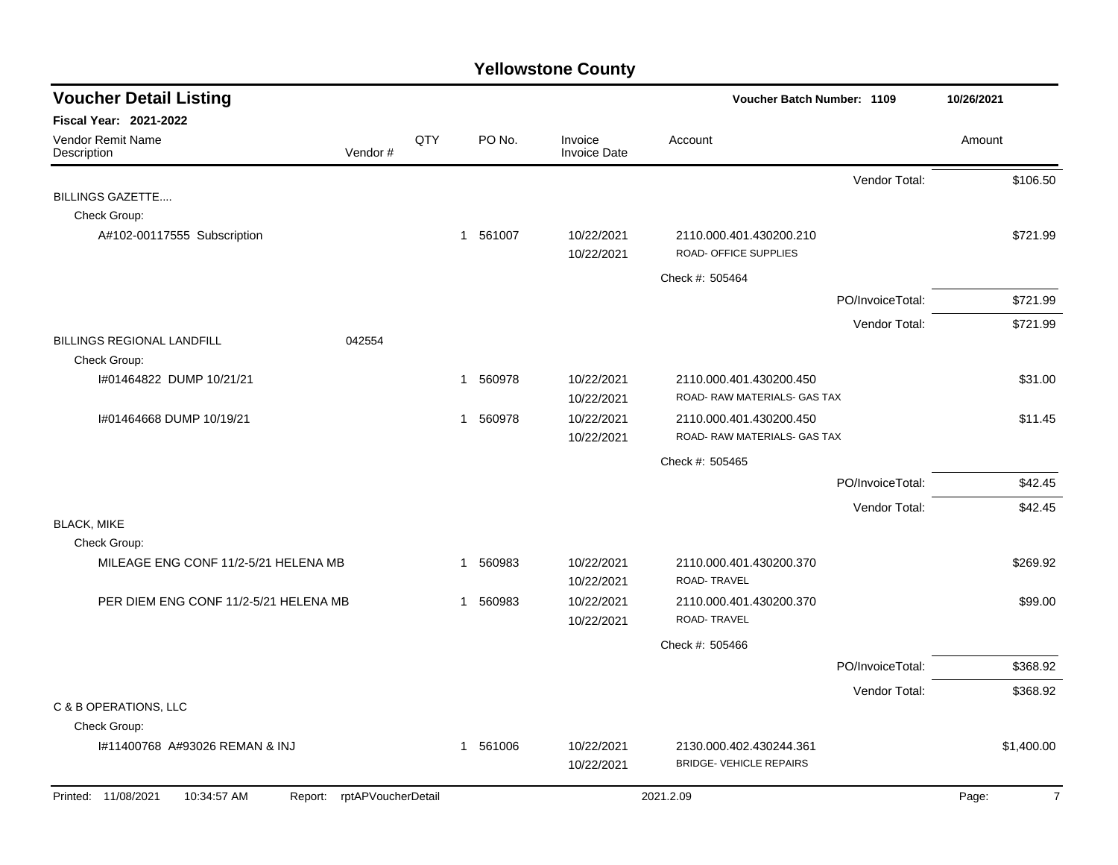| <b>Voucher Detail Listing</b>                                                       |     |          |                                | Voucher Batch Number: 1109                                |                  | 10/26/2021              |
|-------------------------------------------------------------------------------------|-----|----------|--------------------------------|-----------------------------------------------------------|------------------|-------------------------|
| <b>Fiscal Year: 2021-2022</b><br><b>Vendor Remit Name</b><br>Vendor#<br>Description | QTY | PO No.   | Invoice<br><b>Invoice Date</b> | Account                                                   |                  | Amount                  |
|                                                                                     |     |          |                                |                                                           | Vendor Total:    | \$106.50                |
| <b>BILLINGS GAZETTE</b>                                                             |     |          |                                |                                                           |                  |                         |
| Check Group:                                                                        |     |          |                                |                                                           |                  |                         |
| A#102-00117555 Subscription                                                         |     | 1 561007 | 10/22/2021<br>10/22/2021       | 2110.000.401.430200.210<br>ROAD- OFFICE SUPPLIES          |                  | \$721.99                |
|                                                                                     |     |          |                                | Check #: 505464                                           |                  |                         |
|                                                                                     |     |          |                                |                                                           | PO/InvoiceTotal: | \$721.99                |
|                                                                                     |     |          |                                |                                                           | Vendor Total:    | \$721.99                |
| <b>BILLINGS REGIONAL LANDFILL</b><br>042554                                         |     |          |                                |                                                           |                  |                         |
| Check Group:                                                                        |     |          |                                |                                                           |                  |                         |
| I#01464822 DUMP 10/21/21                                                            | 1   | 560978   | 10/22/2021                     | 2110.000.401.430200.450                                   |                  | \$31.00                 |
|                                                                                     |     |          | 10/22/2021                     | ROAD-RAW MATERIALS- GAS TAX                               |                  |                         |
| I#01464668 DUMP 10/19/21                                                            |     | 1 560978 | 10/22/2021<br>10/22/2021       | 2110.000.401.430200.450<br>ROAD- RAW MATERIALS- GAS TAX   |                  | \$11.45                 |
|                                                                                     |     |          |                                | Check #: 505465                                           |                  |                         |
|                                                                                     |     |          |                                |                                                           | PO/InvoiceTotal: | \$42.45                 |
|                                                                                     |     |          |                                |                                                           | Vendor Total:    | \$42.45                 |
| <b>BLACK, MIKE</b>                                                                  |     |          |                                |                                                           |                  |                         |
| Check Group:                                                                        |     |          |                                |                                                           |                  |                         |
| MILEAGE ENG CONF 11/2-5/21 HELENA MB                                                |     | 1 560983 | 10/22/2021<br>10/22/2021       | 2110.000.401.430200.370<br>ROAD-TRAVEL                    |                  | \$269.92                |
| PER DIEM ENG CONF 11/2-5/21 HELENA MB                                               |     | 1 560983 | 10/22/2021<br>10/22/2021       | 2110.000.401.430200.370<br>ROAD-TRAVEL                    |                  | \$99.00                 |
|                                                                                     |     |          |                                | Check #: 505466                                           |                  |                         |
|                                                                                     |     |          |                                |                                                           | PO/InvoiceTotal: | \$368.92                |
|                                                                                     |     |          |                                |                                                           | Vendor Total:    | \$368.92                |
| C & B OPERATIONS, LLC                                                               |     |          |                                |                                                           |                  |                         |
| Check Group:                                                                        |     |          |                                |                                                           |                  |                         |
| I#11400768 A#93026 REMAN & INJ                                                      |     | 1 561006 | 10/22/2021<br>10/22/2021       | 2130.000.402.430244.361<br><b>BRIDGE- VEHICLE REPAIRS</b> |                  | \$1,400.00              |
| Report: rptAPVoucherDetail<br>Printed: 11/08/2021<br>10:34:57 AM                    |     |          |                                | 2021.2.09                                                 |                  | $\overline{7}$<br>Page: |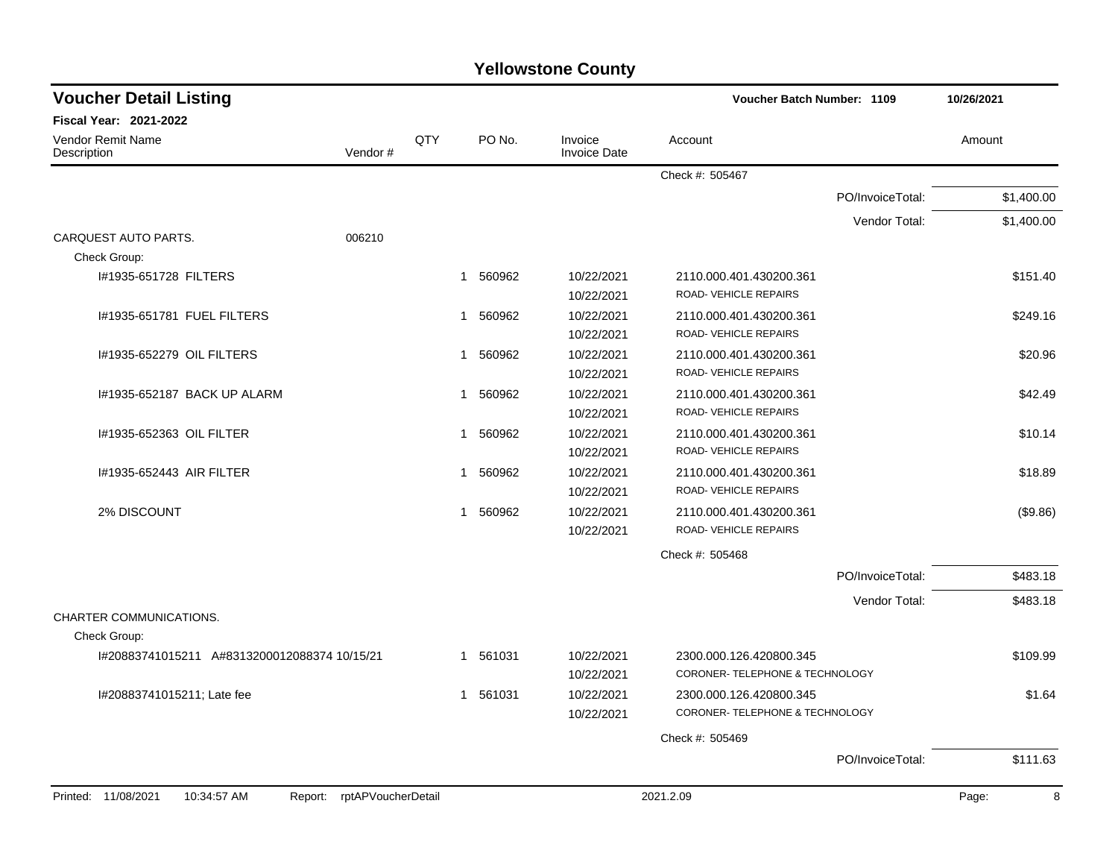| <b>Yellowstone County</b> |  |
|---------------------------|--|
|---------------------------|--|

| <b>Voucher Detail Listing</b>                 |                    |              |          |                                | Voucher Batch Number: 1109                                |                  | 10/26/2021 |
|-----------------------------------------------|--------------------|--------------|----------|--------------------------------|-----------------------------------------------------------|------------------|------------|
| <b>Fiscal Year: 2021-2022</b>                 |                    |              |          |                                |                                                           |                  |            |
| <b>Vendor Remit Name</b><br>Description       | Vendor#            | QTY          | PO No.   | Invoice<br><b>Invoice Date</b> | Account                                                   |                  | Amount     |
|                                               |                    |              |          |                                | Check #: 505467                                           |                  |            |
|                                               |                    |              |          |                                |                                                           | PO/InvoiceTotal: | \$1,400.00 |
|                                               |                    |              |          |                                |                                                           | Vendor Total:    | \$1,400.00 |
| CARQUEST AUTO PARTS.<br>Check Group:          | 006210             |              |          |                                |                                                           |                  |            |
| I#1935-651728 FILTERS                         |                    |              | 1 560962 | 10/22/2021<br>10/22/2021       | 2110.000.401.430200.361<br>ROAD-VEHICLE REPAIRS           |                  | \$151.40   |
| 1#1935-651781 FUEL FILTERS                    |                    | 1            | 560962   | 10/22/2021<br>10/22/2021       | 2110.000.401.430200.361<br>ROAD-VEHICLE REPAIRS           |                  | \$249.16   |
| I#1935-652279 OIL FILTERS                     |                    | $\mathbf{1}$ | 560962   | 10/22/2021<br>10/22/2021       | 2110.000.401.430200.361<br>ROAD-VEHICLE REPAIRS           |                  | \$20.96    |
| I#1935-652187 BACK UP ALARM                   |                    | 1            | 560962   | 10/22/2021<br>10/22/2021       | 2110.000.401.430200.361<br>ROAD-VEHICLE REPAIRS           |                  | \$42.49    |
| I#1935-652363 OIL FILTER                      |                    | -1           | 560962   | 10/22/2021<br>10/22/2021       | 2110.000.401.430200.361<br>ROAD-VEHICLE REPAIRS           |                  | \$10.14    |
| 1#1935-652443 AIR FILTER                      |                    | $\mathbf 1$  | 560962   | 10/22/2021<br>10/22/2021       | 2110.000.401.430200.361<br>ROAD-VEHICLE REPAIRS           |                  | \$18.89    |
| 2% DISCOUNT                                   |                    | 1            | 560962   | 10/22/2021<br>10/22/2021       | 2110.000.401.430200.361<br>ROAD-VEHICLE REPAIRS           |                  | (\$9.86)   |
|                                               |                    |              |          |                                | Check #: 505468                                           |                  |            |
|                                               |                    |              |          |                                |                                                           | PO/InvoiceTotal: | \$483.18   |
| CHARTER COMMUNICATIONS.                       |                    |              |          |                                |                                                           | Vendor Total:    | \$483.18   |
| Check Group:                                  |                    |              |          |                                |                                                           |                  |            |
| I#20883741015211 A#8313200012088374 10/15/21  |                    |              | 1 561031 | 10/22/2021<br>10/22/2021       | 2300.000.126.420800.345<br>CORONER-TELEPHONE & TECHNOLOGY |                  | \$109.99   |
| I#20883741015211; Late fee                    |                    |              | 1 561031 | 10/22/2021<br>10/22/2021       | 2300.000.126.420800.345<br>CORONER-TELEPHONE & TECHNOLOGY |                  | \$1.64     |
|                                               |                    |              |          |                                | Check #: 505469                                           |                  |            |
|                                               |                    |              |          |                                |                                                           | PO/InvoiceTotal: | \$111.63   |
| Printed: 11/08/2021<br>10:34:57 AM<br>Report: | rptAPVoucherDetail |              |          |                                | 2021.2.09                                                 |                  | Page:<br>8 |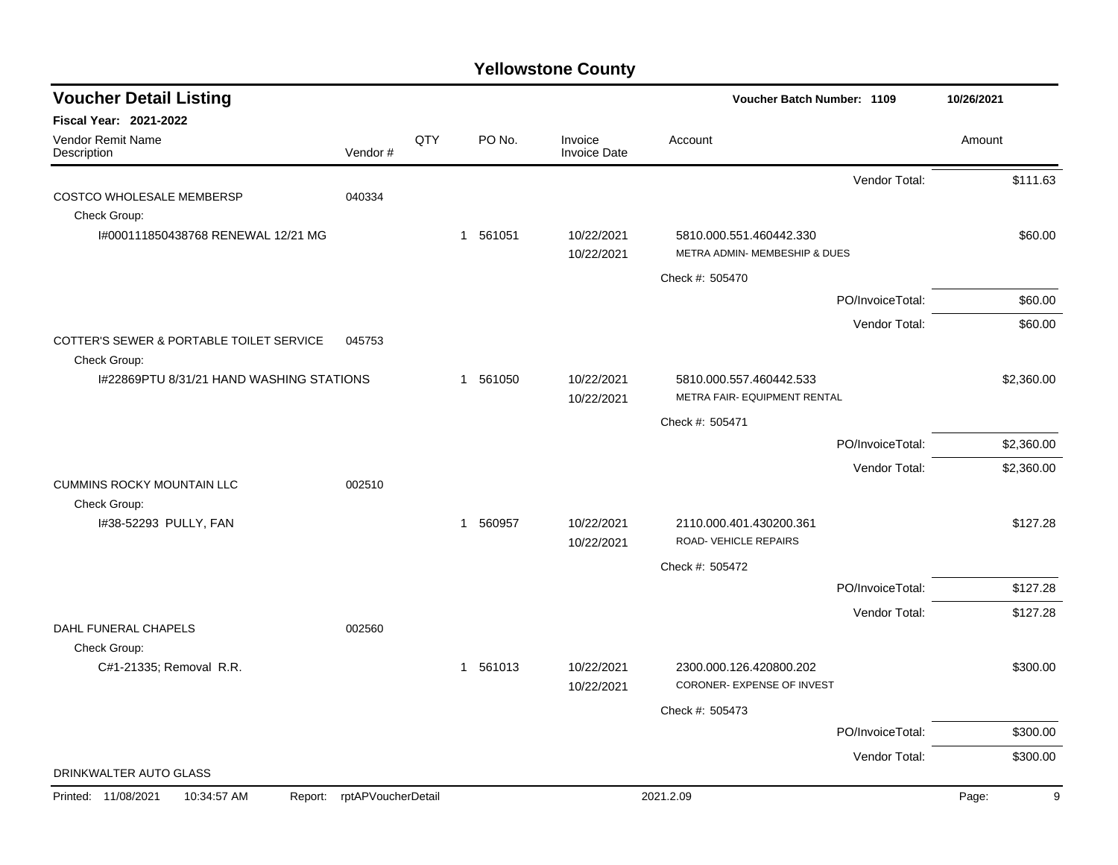| <b>Voucher Detail Listing</b>                            |                    |     |                        |                                | Voucher Batch Number: 1109                               |                  | 10/26/2021 |
|----------------------------------------------------------|--------------------|-----|------------------------|--------------------------------|----------------------------------------------------------|------------------|------------|
| Fiscal Year: 2021-2022                                   |                    |     |                        |                                |                                                          |                  |            |
| Vendor Remit Name<br>Description                         | Vendor#            | QTY | PO No.                 | Invoice<br><b>Invoice Date</b> | Account                                                  |                  | Amount     |
|                                                          |                    |     |                        |                                |                                                          | Vendor Total:    | \$111.63   |
| <b>COSTCO WHOLESALE MEMBERSP</b><br>Check Group:         | 040334             |     |                        |                                |                                                          |                  |            |
| I#000111850438768 RENEWAL 12/21 MG                       |                    |     | 1 561051               | 10/22/2021                     | 5810.000.551.460442.330<br>METRA ADMIN- MEMBESHIP & DUES |                  | \$60.00    |
|                                                          |                    |     |                        | 10/22/2021                     |                                                          |                  |            |
|                                                          |                    |     |                        |                                | Check #: 505470                                          |                  |            |
|                                                          |                    |     |                        |                                |                                                          | PO/InvoiceTotal: | \$60.00    |
| COTTER'S SEWER & PORTABLE TOILET SERVICE                 | 045753             |     |                        |                                |                                                          | Vendor Total:    | \$60.00    |
| Check Group:<br>I#22869PTU 8/31/21 HAND WASHING STATIONS |                    |     | 1 561050               | 10/22/2021<br>10/22/2021       | 5810.000.557.460442.533<br>METRA FAIR- EQUIPMENT RENTAL  |                  | \$2,360.00 |
|                                                          |                    |     |                        |                                | Check #: 505471                                          |                  |            |
|                                                          |                    |     |                        |                                |                                                          | PO/InvoiceTotal: | \$2,360.00 |
|                                                          |                    |     |                        |                                |                                                          | Vendor Total:    | \$2,360.00 |
| <b>CUMMINS ROCKY MOUNTAIN LLC</b>                        | 002510             |     |                        |                                |                                                          |                  |            |
| Check Group:                                             |                    |     |                        |                                |                                                          |                  |            |
| I#38-52293 PULLY, FAN                                    |                    |     | 560957<br>$\mathbf{1}$ | 10/22/2021<br>10/22/2021       | 2110.000.401.430200.361<br>ROAD-VEHICLE REPAIRS          |                  | \$127.28   |
|                                                          |                    |     |                        |                                | Check #: 505472                                          |                  |            |
|                                                          |                    |     |                        |                                |                                                          | PO/InvoiceTotal: | \$127.28   |
|                                                          |                    |     |                        |                                |                                                          | Vendor Total:    | \$127.28   |
| DAHL FUNERAL CHAPELS                                     | 002560             |     |                        |                                |                                                          |                  |            |
| Check Group:<br>C#1-21335; Removal R.R.                  |                    |     | 1 561013               | 10/22/2021                     | 2300.000.126.420800.202                                  |                  | \$300.00   |
|                                                          |                    |     |                        | 10/22/2021                     | CORONER- EXPENSE OF INVEST                               |                  |            |
|                                                          |                    |     |                        |                                | Check #: 505473                                          |                  |            |
|                                                          |                    |     |                        |                                |                                                          | PO/InvoiceTotal: | \$300.00   |
|                                                          |                    |     |                        |                                |                                                          | Vendor Total:    | \$300.00   |
| DRINKWALTER AUTO GLASS                                   |                    |     |                        |                                |                                                          |                  |            |
| Printed: 11/08/2021<br>10:34:57 AM<br>Report:            | rptAPVoucherDetail |     |                        |                                | 2021.2.09                                                |                  | Page:<br>9 |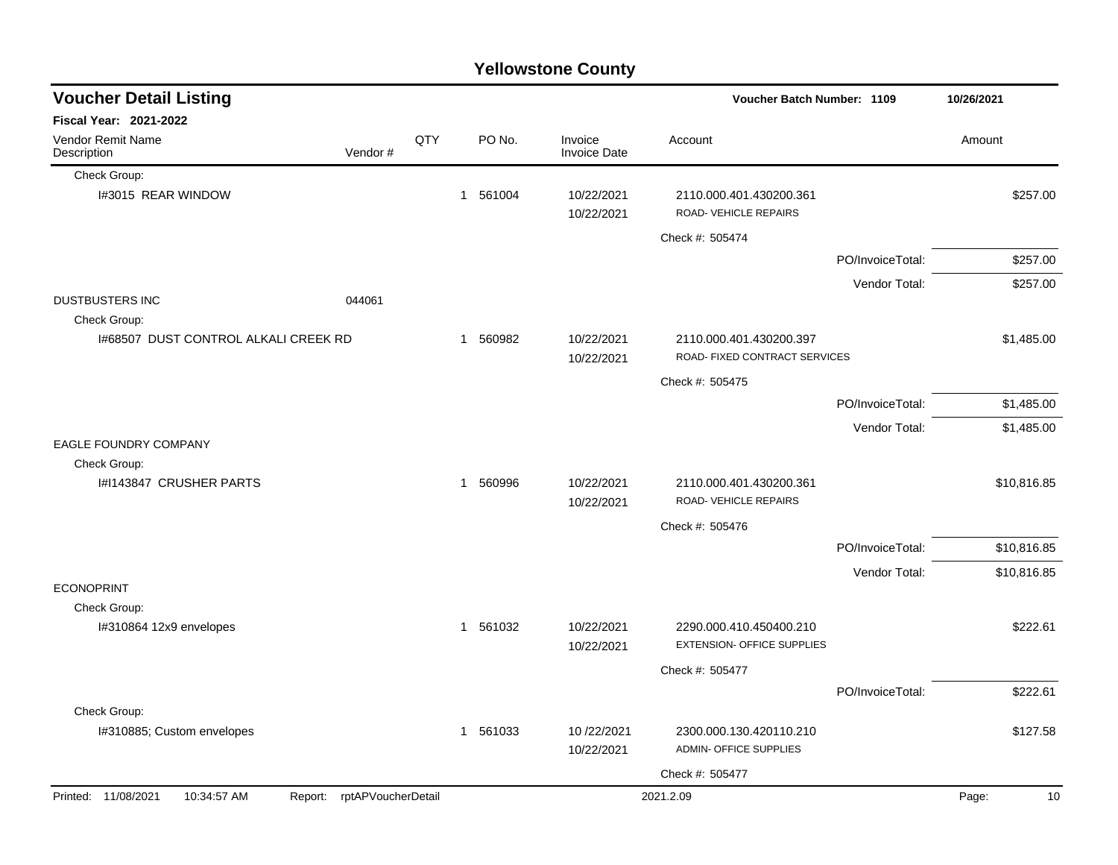|                                        |                            |     |              |                            | <b>Yellowstone County</b>      |                                                              |                  |             |
|----------------------------------------|----------------------------|-----|--------------|----------------------------|--------------------------------|--------------------------------------------------------------|------------------|-------------|
| <b>Voucher Detail Listing</b>          |                            |     |              | Voucher Batch Number: 1109 |                                |                                                              |                  | 10/26/2021  |
| Fiscal Year: 2021-2022                 |                            |     |              |                            |                                |                                                              |                  |             |
| Vendor Remit Name<br>Description       | Vendor#                    | QTY |              | PO No.                     | Invoice<br><b>Invoice Date</b> | Account                                                      |                  | Amount      |
| Check Group:                           |                            |     |              |                            |                                |                                                              |                  |             |
| I#3015 REAR WINDOW                     |                            |     | 1 561004     |                            | 10/22/2021<br>10/22/2021       | 2110.000.401.430200.361<br>ROAD-VEHICLE REPAIRS              |                  | \$257.00    |
|                                        |                            |     |              |                            |                                | Check #: 505474                                              |                  |             |
|                                        |                            |     |              |                            |                                |                                                              | PO/InvoiceTotal: | \$257.00    |
|                                        |                            |     |              |                            |                                |                                                              | Vendor Total:    | \$257.00    |
| <b>DUSTBUSTERS INC</b><br>Check Group: | 044061                     |     |              |                            |                                |                                                              |                  |             |
| 1#68507 DUST CONTROL ALKALI CREEK RD   |                            |     | $\mathbf{1}$ | 560982                     | 10/22/2021<br>10/22/2021       | 2110.000.401.430200.397<br>ROAD- FIXED CONTRACT SERVICES     |                  | \$1,485.00  |
|                                        |                            |     |              |                            |                                | Check #: 505475                                              |                  |             |
|                                        |                            |     |              |                            |                                |                                                              | PO/InvoiceTotal: | \$1,485.00  |
|                                        |                            |     |              |                            |                                |                                                              | Vendor Total:    | \$1,485.00  |
| EAGLE FOUNDRY COMPANY<br>Check Group:  |                            |     |              |                            |                                |                                                              |                  |             |
| I#I143847 CRUSHER PARTS                |                            |     | 1            | 560996                     | 10/22/2021<br>10/22/2021       | 2110.000.401.430200.361<br>ROAD- VEHICLE REPAIRS             |                  | \$10,816.85 |
|                                        |                            |     |              |                            |                                | Check #: 505476                                              |                  |             |
|                                        |                            |     |              |                            |                                |                                                              | PO/InvoiceTotal: | \$10,816.85 |
|                                        |                            |     |              |                            |                                |                                                              | Vendor Total:    | \$10,816.85 |
| <b>ECONOPRINT</b>                      |                            |     |              |                            |                                |                                                              |                  |             |
| Check Group:                           |                            |     |              |                            |                                |                                                              |                  |             |
| I#310864 12x9 envelopes                |                            |     | 1 561032     |                            | 10/22/2021<br>10/22/2021       | 2290.000.410.450400.210<br><b>EXTENSION- OFFICE SUPPLIES</b> |                  | \$222.61    |
|                                        |                            |     |              |                            |                                | Check #: 505477                                              |                  |             |
|                                        |                            |     |              |                            |                                |                                                              | PO/InvoiceTotal: | \$222.61    |
| Check Group:                           |                            |     |              |                            |                                |                                                              |                  |             |
| I#310885; Custom envelopes             |                            |     | 1 561033     |                            | 10/22/2021<br>10/22/2021       | 2300.000.130.420110.210<br>ADMIN- OFFICE SUPPLIES            |                  | \$127.58    |
|                                        |                            |     |              |                            |                                | Check #: 505477                                              |                  |             |
| Printed: 11/08/2021<br>10:34:57 AM     | Report: rptAPVoucherDetail |     |              |                            |                                | 2021.2.09                                                    |                  | Page:<br>10 |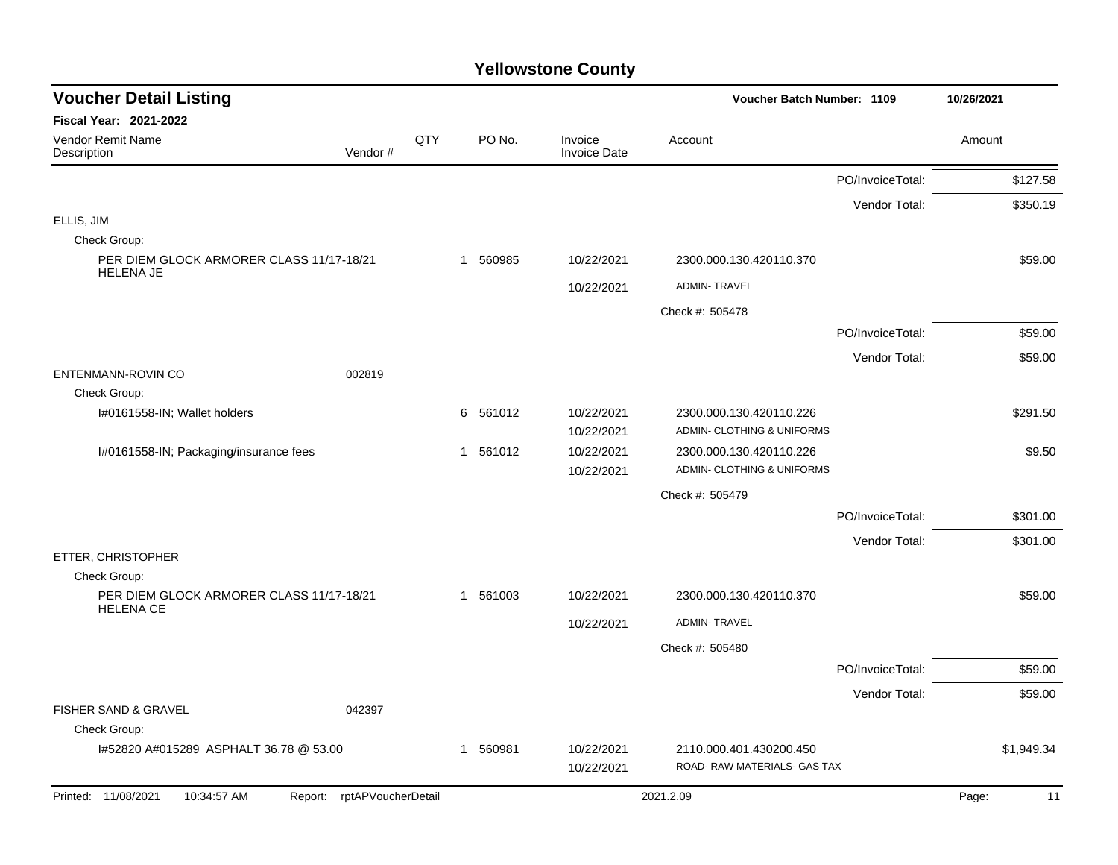| <b>Voucher Detail Listing</b>                            |                               |     |             |                                | Voucher Batch Number: 1109                              |                  | 10/26/2021  |
|----------------------------------------------------------|-------------------------------|-----|-------------|--------------------------------|---------------------------------------------------------|------------------|-------------|
| Fiscal Year: 2021-2022                                   |                               |     |             |                                |                                                         |                  |             |
| Vendor Remit Name<br>Description                         | Vendor#                       | QTY | PO No.      | Invoice<br><b>Invoice Date</b> | Account                                                 |                  | Amount      |
|                                                          |                               |     |             |                                |                                                         | PO/InvoiceTotal: | \$127.58    |
|                                                          |                               |     |             |                                |                                                         | Vendor Total:    | \$350.19    |
| ELLIS, JIM                                               |                               |     |             |                                |                                                         |                  |             |
| Check Group:<br>PER DIEM GLOCK ARMORER CLASS 11/17-18/21 |                               |     | 1 560985    | 10/22/2021                     | 2300.000.130.420110.370                                 |                  | \$59.00     |
| <b>HELENA JE</b>                                         |                               |     |             |                                |                                                         |                  |             |
|                                                          |                               |     |             | 10/22/2021                     | <b>ADMIN-TRAVEL</b>                                     |                  |             |
|                                                          |                               |     |             |                                | Check #: 505478                                         |                  |             |
|                                                          |                               |     |             |                                |                                                         | PO/InvoiceTotal: | \$59.00     |
| <b>ENTENMANN-ROVIN CO</b>                                | 002819                        |     |             |                                |                                                         | Vendor Total:    | \$59.00     |
| Check Group:                                             |                               |     |             |                                |                                                         |                  |             |
| I#0161558-IN; Wallet holders                             |                               |     | 561012<br>6 | 10/22/2021                     | 2300.000.130.420110.226                                 |                  | \$291.50    |
|                                                          |                               |     |             | 10/22/2021                     | ADMIN- CLOTHING & UNIFORMS                              |                  |             |
| I#0161558-IN; Packaging/insurance fees                   |                               |     | 561012<br>1 | 10/22/2021                     | 2300.000.130.420110.226                                 |                  | \$9.50      |
|                                                          |                               |     |             | 10/22/2021                     | ADMIN- CLOTHING & UNIFORMS                              |                  |             |
|                                                          |                               |     |             |                                | Check #: 505479                                         |                  |             |
|                                                          |                               |     |             |                                |                                                         | PO/InvoiceTotal: | \$301.00    |
| ETTER, CHRISTOPHER                                       |                               |     |             |                                |                                                         | Vendor Total:    | \$301.00    |
| Check Group:                                             |                               |     |             |                                |                                                         |                  |             |
| PER DIEM GLOCK ARMORER CLASS 11/17-18/21                 |                               |     | 561003<br>1 | 10/22/2021                     | 2300.000.130.420110.370                                 |                  | \$59.00     |
| <b>HELENA CE</b>                                         |                               |     |             | 10/22/2021                     | <b>ADMIN-TRAVEL</b>                                     |                  |             |
|                                                          |                               |     |             |                                | Check #: 505480                                         |                  |             |
|                                                          |                               |     |             |                                |                                                         | PO/InvoiceTotal: | \$59.00     |
|                                                          |                               |     |             |                                |                                                         | Vendor Total:    | \$59.00     |
| FISHER SAND & GRAVEL                                     | 042397                        |     |             |                                |                                                         |                  |             |
| Check Group:                                             |                               |     |             |                                |                                                         |                  |             |
| 1#52820 A#015289 ASPHALT 36.78 @ 53.00                   |                               |     | 560981<br>1 | 10/22/2021<br>10/22/2021       | 2110.000.401.430200.450<br>ROAD- RAW MATERIALS- GAS TAX |                  | \$1,949.34  |
| Printed: 11/08/2021<br>10:34:57 AM                       | rptAPVoucherDetail<br>Report: |     |             |                                | 2021.2.09                                               |                  | Page:<br>11 |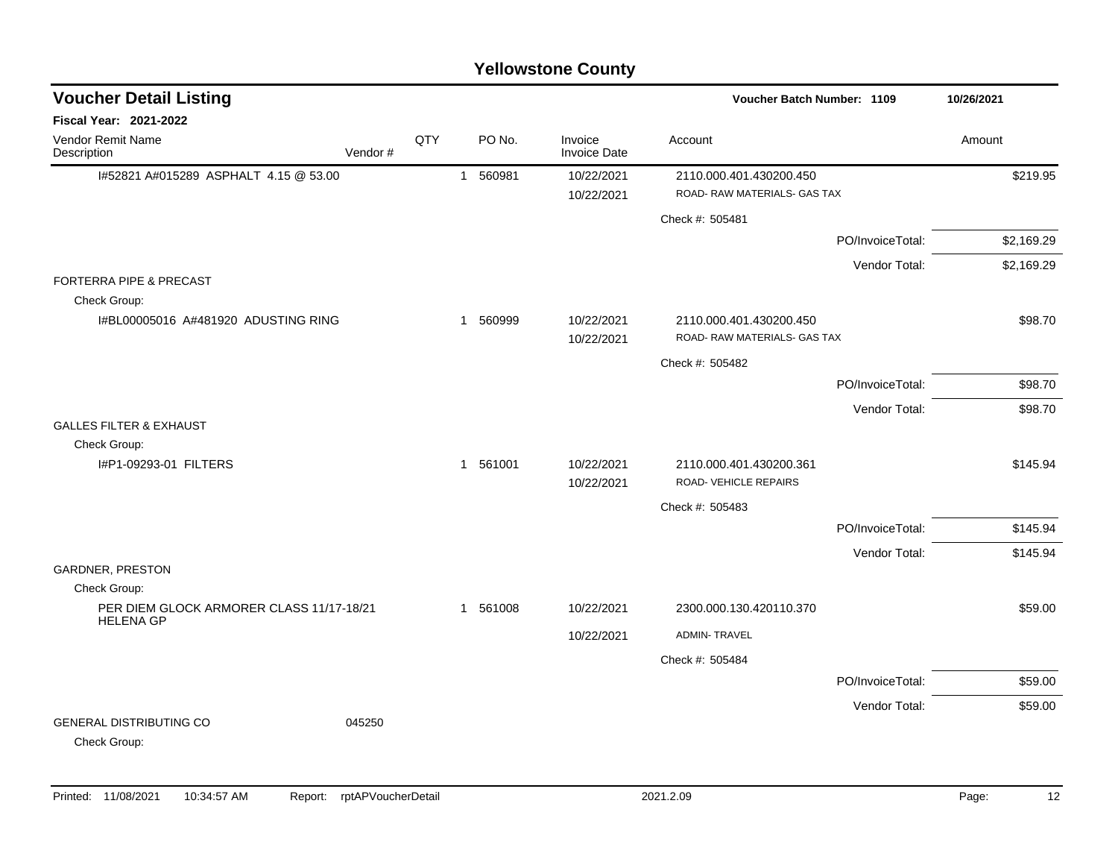|                                                    |         |     |          | <b>Yellowstone County</b>      |                                                         |                  |            |
|----------------------------------------------------|---------|-----|----------|--------------------------------|---------------------------------------------------------|------------------|------------|
| <b>Voucher Detail Listing</b>                      |         |     |          |                                | Voucher Batch Number: 1109                              |                  | 10/26/2021 |
| <b>Fiscal Year: 2021-2022</b>                      |         |     |          |                                |                                                         |                  |            |
| <b>Vendor Remit Name</b><br>Description            | Vendor# | QTY | PO No.   | Invoice<br><b>Invoice Date</b> | Account                                                 |                  | Amount     |
| 1#52821 A#015289 ASPHALT 4.15 @ 53.00              |         |     | 1 560981 | 10/22/2021                     | 2110.000.401.430200.450                                 |                  | \$219.95   |
|                                                    |         |     |          | 10/22/2021                     | ROAD- RAW MATERIALS- GAS TAX                            |                  |            |
|                                                    |         |     |          |                                | Check #: 505481                                         |                  |            |
|                                                    |         |     |          |                                |                                                         | PO/InvoiceTotal: | \$2,169.29 |
|                                                    |         |     |          |                                |                                                         | Vendor Total:    | \$2,169.29 |
| <b>FORTERRA PIPE &amp; PRECAST</b><br>Check Group: |         |     |          |                                |                                                         |                  |            |
| I#BL00005016 A#481920 ADUSTING RING                |         |     | 1 560999 | 10/22/2021                     | 2110.000.401.430200.450                                 |                  | \$98.70    |
|                                                    |         |     |          | 10/22/2021                     | ROAD- RAW MATERIALS- GAS TAX                            |                  |            |
|                                                    |         |     |          |                                | Check #: 505482                                         |                  |            |
|                                                    |         |     |          |                                |                                                         | PO/InvoiceTotal: | \$98.70    |
| <b>GALLES FILTER &amp; EXHAUST</b>                 |         |     |          |                                |                                                         | Vendor Total:    | \$98.70    |
| Check Group:                                       |         |     |          |                                |                                                         |                  |            |
| I#P1-09293-01 FILTERS                              |         |     | 1 561001 | 10/22/2021<br>10/22/2021       | 2110.000.401.430200.361<br><b>ROAD- VEHICLE REPAIRS</b> |                  | \$145.94   |
|                                                    |         |     |          |                                | Check #: 505483                                         |                  |            |
|                                                    |         |     |          |                                |                                                         | PO/InvoiceTotal: | \$145.94   |
|                                                    |         |     |          |                                |                                                         | Vendor Total:    | \$145.94   |
| <b>GARDNER, PRESTON</b><br>Check Group:            |         |     |          |                                |                                                         |                  |            |
| PER DIEM GLOCK ARMORER CLASS 11/17-18/21           |         |     | 1 561008 | 10/22/2021                     | 2300.000.130.420110.370                                 |                  | \$59.00    |
| <b>HELENA GP</b>                                   |         |     |          | 10/22/2021                     | <b>ADMIN-TRAVEL</b>                                     |                  |            |
|                                                    |         |     |          |                                | Check #: 505484                                         |                  |            |
|                                                    |         |     |          |                                |                                                         | PO/InvoiceTotal: | \$59.00    |
|                                                    |         |     |          |                                |                                                         | Vendor Total:    | \$59.00    |
| <b>GENERAL DISTRIBUTING CO</b><br>Check Group:     | 045250  |     |          |                                |                                                         |                  |            |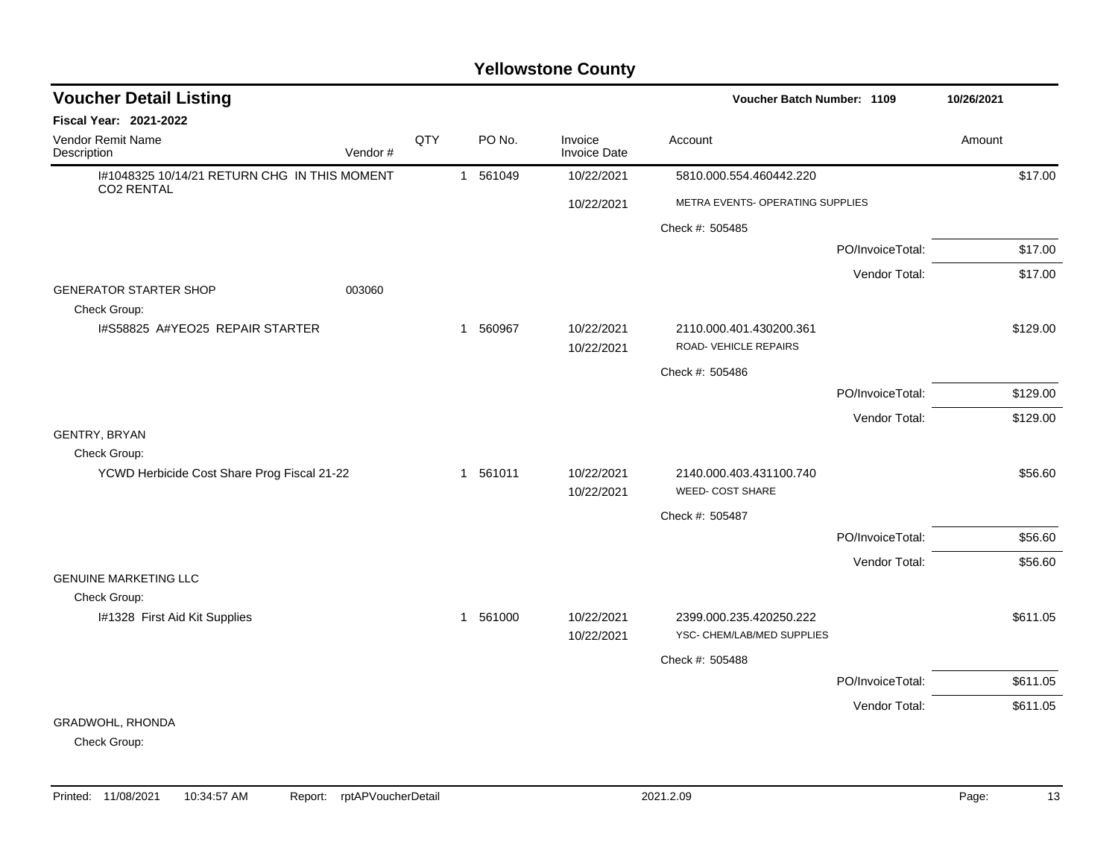| <b>Voucher Detail Listing</b>                                     |         |     |          |                                | <b>Voucher Batch Number: 1109</b>                     |                  | 10/26/2021 |
|-------------------------------------------------------------------|---------|-----|----------|--------------------------------|-------------------------------------------------------|------------------|------------|
| <b>Fiscal Year: 2021-2022</b>                                     |         |     |          |                                |                                                       |                  |            |
| Vendor Remit Name<br>Description                                  | Vendor# | QTY | PO No.   | Invoice<br><b>Invoice Date</b> | Account                                               |                  | Amount     |
| I#1048325 10/14/21 RETURN CHG IN THIS MOMENT<br><b>CO2 RENTAL</b> |         |     | 1 561049 | 10/22/2021                     | 5810.000.554.460442.220                               |                  | \$17.00    |
|                                                                   |         |     |          | 10/22/2021                     | METRA EVENTS- OPERATING SUPPLIES                      |                  |            |
|                                                                   |         |     |          |                                | Check #: 505485                                       |                  |            |
|                                                                   |         |     |          |                                |                                                       | PO/InvoiceTotal: | \$17.00    |
|                                                                   |         |     |          |                                |                                                       | Vendor Total:    | \$17.00    |
| <b>GENERATOR STARTER SHOP</b><br>Check Group:                     | 003060  |     |          |                                |                                                       |                  |            |
| 1#S58825 A#YEO25 REPAIR STARTER                                   |         |     | 1 560967 | 10/22/2021                     | 2110.000.401.430200.361                               |                  | \$129.00   |
|                                                                   |         |     |          | 10/22/2021                     | ROAD- VEHICLE REPAIRS                                 |                  |            |
|                                                                   |         |     |          |                                | Check #: 505486                                       |                  |            |
|                                                                   |         |     |          |                                |                                                       | PO/InvoiceTotal: | \$129.00   |
|                                                                   |         |     |          |                                |                                                       | Vendor Total:    | \$129.00   |
| GENTRY, BRYAN                                                     |         |     |          |                                |                                                       |                  |            |
| Check Group:                                                      |         |     |          |                                |                                                       |                  |            |
| YCWD Herbicide Cost Share Prog Fiscal 21-22                       |         |     | 1 561011 | 10/22/2021<br>10/22/2021       | 2140.000.403.431100.740<br><b>WEED- COST SHARE</b>    |                  | \$56.60    |
|                                                                   |         |     |          |                                | Check #: 505487                                       |                  |            |
|                                                                   |         |     |          |                                |                                                       | PO/InvoiceTotal: | \$56.60    |
|                                                                   |         |     |          |                                |                                                       | Vendor Total:    | \$56.60    |
| <b>GENUINE MARKETING LLC</b>                                      |         |     |          |                                |                                                       |                  |            |
| Check Group:                                                      |         |     |          |                                |                                                       |                  |            |
| I#1328 First Aid Kit Supplies                                     |         |     | 1 561000 | 10/22/2021<br>10/22/2021       | 2399.000.235.420250.222<br>YSC- CHEM/LAB/MED SUPPLIES |                  | \$611.05   |
|                                                                   |         |     |          |                                | Check #: 505488                                       |                  |            |
|                                                                   |         |     |          |                                |                                                       | PO/InvoiceTotal: | \$611.05   |
|                                                                   |         |     |          |                                |                                                       |                  |            |
| GRADWOHL, RHONDA                                                  |         |     |          |                                |                                                       | Vendor Total:    | \$611.05   |
|                                                                   |         |     |          |                                |                                                       |                  |            |

Check Group: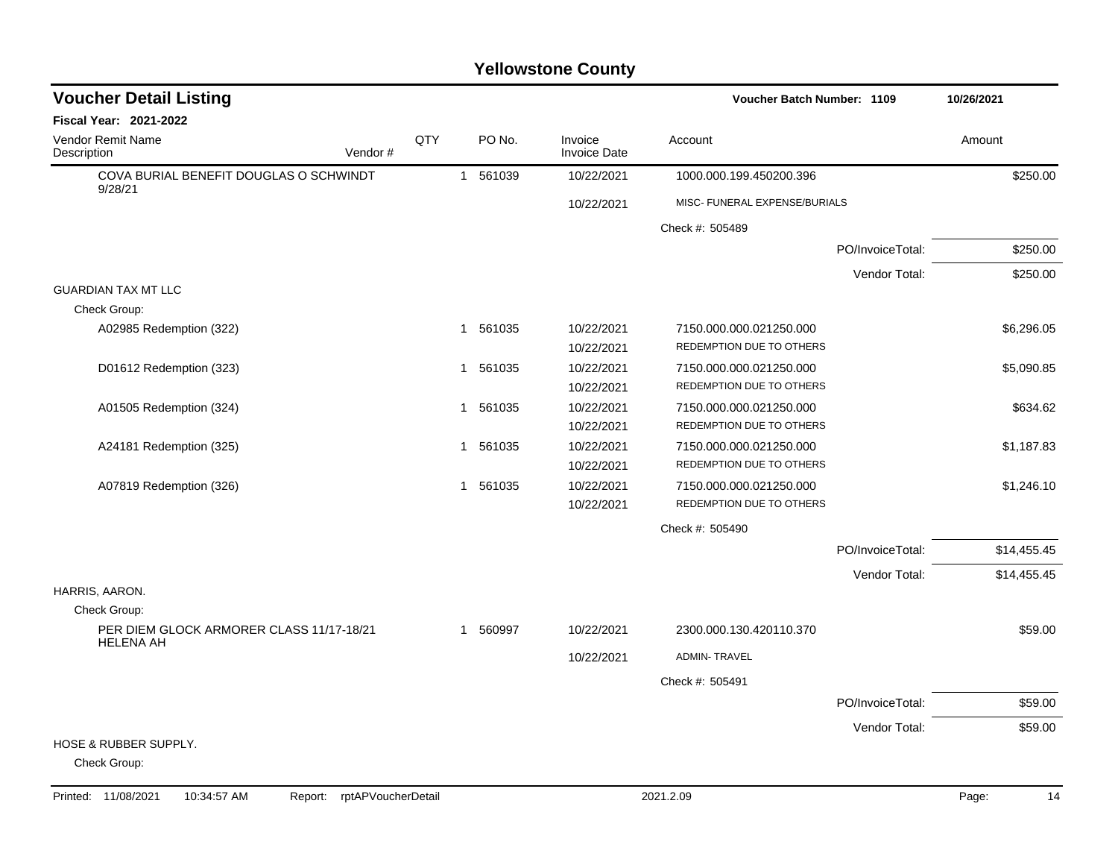| <b>Voucher Detail Listing</b><br><b>Voucher Batch Number: 1109</b> |     | 10/26/2021   |          |                                |                               |                  |             |
|--------------------------------------------------------------------|-----|--------------|----------|--------------------------------|-------------------------------|------------------|-------------|
| <b>Fiscal Year: 2021-2022</b>                                      |     |              |          |                                |                               |                  |             |
| Vendor Remit Name<br>Vendor#<br>Description                        | QTY |              | PO No.   | Invoice<br><b>Invoice Date</b> | Account                       |                  | Amount      |
| COVA BURIAL BENEFIT DOUGLAS O SCHWINDT<br>9/28/21                  |     |              | 1 561039 | 10/22/2021                     | 1000.000.199.450200.396       |                  | \$250.00    |
|                                                                    |     |              |          | 10/22/2021                     | MISC- FUNERAL EXPENSE/BURIALS |                  |             |
|                                                                    |     |              |          |                                | Check #: 505489               |                  |             |
|                                                                    |     |              |          |                                |                               | PO/InvoiceTotal: | \$250.00    |
|                                                                    |     |              |          |                                |                               | Vendor Total:    | \$250.00    |
| <b>GUARDIAN TAX MT LLC</b>                                         |     |              |          |                                |                               |                  |             |
| Check Group:                                                       |     |              |          |                                |                               |                  |             |
| A02985 Redemption (322)                                            |     |              | 1 561035 | 10/22/2021                     | 7150.000.000.021250.000       |                  | \$6,296.05  |
|                                                                    |     |              |          | 10/22/2021                     | REDEMPTION DUE TO OTHERS      |                  |             |
| D01612 Redemption (323)                                            |     | -1           | 561035   | 10/22/2021                     | 7150.000.000.021250.000       |                  | \$5,090.85  |
|                                                                    |     |              |          | 10/22/2021                     | REDEMPTION DUE TO OTHERS      |                  |             |
| A01505 Redemption (324)                                            |     | -1           | 561035   | 10/22/2021                     | 7150.000.000.021250.000       |                  | \$634.62    |
|                                                                    |     |              |          | 10/22/2021                     | REDEMPTION DUE TO OTHERS      |                  |             |
| A24181 Redemption (325)                                            |     |              | 1 561035 | 10/22/2021                     | 7150.000.000.021250.000       |                  | \$1,187.83  |
|                                                                    |     |              |          | 10/22/2021                     | REDEMPTION DUE TO OTHERS      |                  |             |
| A07819 Redemption (326)                                            |     |              | 1 561035 | 10/22/2021                     | 7150.000.000.021250.000       |                  | \$1,246.10  |
|                                                                    |     |              |          | 10/22/2021                     | REDEMPTION DUE TO OTHERS      |                  |             |
|                                                                    |     |              |          |                                | Check #: 505490               |                  |             |
|                                                                    |     |              |          |                                |                               | PO/InvoiceTotal: | \$14,455.45 |
|                                                                    |     |              |          |                                |                               | Vendor Total:    | \$14,455.45 |
| HARRIS, AARON.                                                     |     |              |          |                                |                               |                  |             |
| Check Group:                                                       |     |              |          |                                |                               |                  |             |
| PER DIEM GLOCK ARMORER CLASS 11/17-18/21<br><b>HELENA AH</b>       |     | $\mathbf{1}$ | 560997   | 10/22/2021                     | 2300.000.130.420110.370       |                  | \$59.00     |
|                                                                    |     |              |          | 10/22/2021                     | <b>ADMIN-TRAVEL</b>           |                  |             |
|                                                                    |     |              |          |                                | Check #: 505491               |                  |             |
|                                                                    |     |              |          |                                |                               | PO/InvoiceTotal: | \$59.00     |
|                                                                    |     |              |          |                                |                               | Vendor Total:    | \$59.00     |
| HOSE & RUBBER SUPPLY.                                              |     |              |          |                                |                               |                  |             |
| Check Group:                                                       |     |              |          |                                |                               |                  |             |

Printed: 11/08/2021 10:34:57 AM Report: rptAPVoucherDetail 2021.2.09 2021.2.09 Page: 14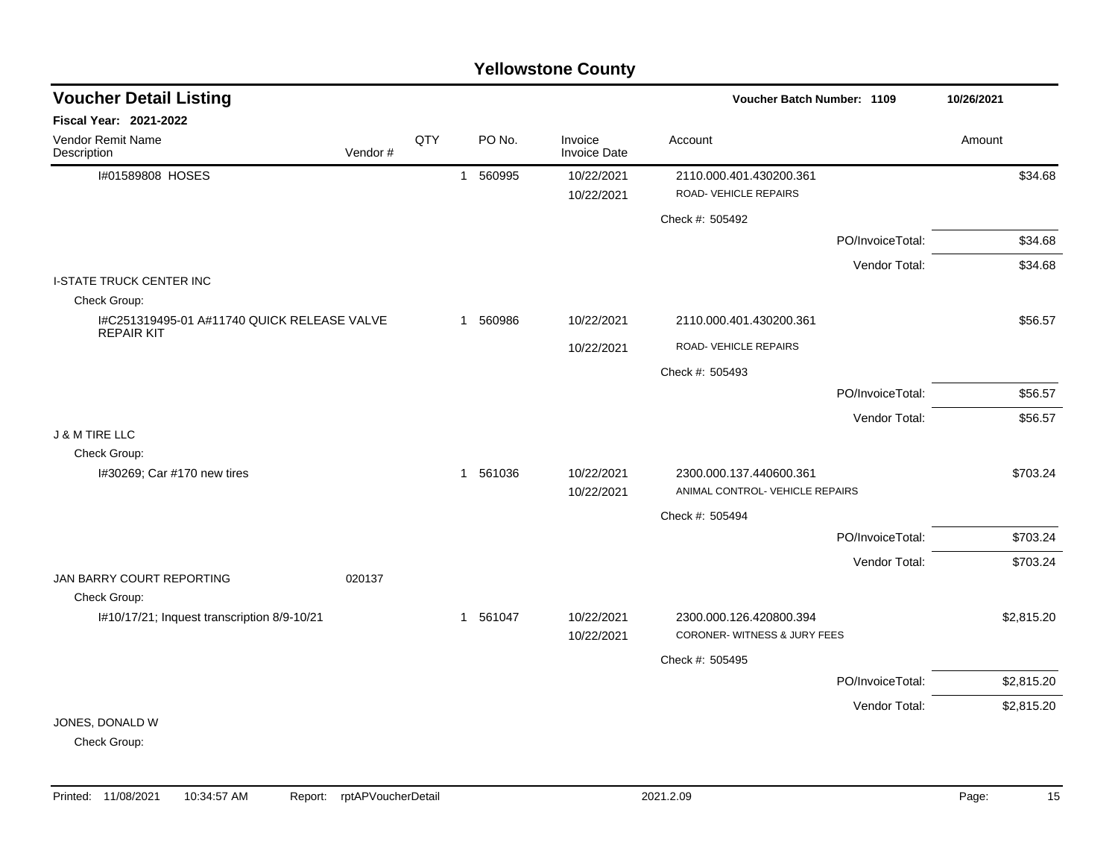| <b>Voucher Detail Listing</b>                                    |         |     |          |                                | Voucher Batch Number: 1109                                 |                  | 10/26/2021 |
|------------------------------------------------------------------|---------|-----|----------|--------------------------------|------------------------------------------------------------|------------------|------------|
| <b>Fiscal Year: 2021-2022</b>                                    |         |     |          |                                |                                                            |                  |            |
| Vendor Remit Name<br>Description                                 | Vendor# | QTY | PO No.   | Invoice<br><b>Invoice Date</b> | Account                                                    |                  | Amount     |
| I#01589808 HOSES                                                 |         |     | 1 560995 | 10/22/2021<br>10/22/2021       | 2110.000.401.430200.361<br>ROAD-VEHICLE REPAIRS            |                  | \$34.68    |
|                                                                  |         |     |          |                                | Check #: 505492                                            |                  |            |
|                                                                  |         |     |          |                                |                                                            | PO/InvoiceTotal: | \$34.68    |
|                                                                  |         |     |          |                                |                                                            | Vendor Total:    | \$34.68    |
| <b>I-STATE TRUCK CENTER INC</b>                                  |         |     |          |                                |                                                            |                  |            |
| Check Group:                                                     |         |     |          |                                |                                                            |                  |            |
| I#C251319495-01 A#11740 QUICK RELEASE VALVE<br><b>REPAIR KIT</b> |         |     | 1 560986 | 10/22/2021                     | 2110.000.401.430200.361                                    |                  | \$56.57    |
|                                                                  |         |     |          | 10/22/2021                     | ROAD- VEHICLE REPAIRS                                      |                  |            |
|                                                                  |         |     |          |                                | Check #: 505493                                            |                  |            |
|                                                                  |         |     |          |                                |                                                            | PO/InvoiceTotal: | \$56.57    |
|                                                                  |         |     |          |                                |                                                            | Vendor Total:    | \$56.57    |
| <b>J &amp; M TIRE LLC</b>                                        |         |     |          |                                |                                                            |                  |            |
| Check Group:                                                     |         |     |          |                                |                                                            |                  |            |
| I#30269; Car #170 new tires                                      |         |     | 1 561036 | 10/22/2021<br>10/22/2021       | 2300.000.137.440600.361<br>ANIMAL CONTROL- VEHICLE REPAIRS |                  | \$703.24   |
|                                                                  |         |     |          |                                | Check #: 505494                                            |                  |            |
|                                                                  |         |     |          |                                |                                                            | PO/InvoiceTotal: | \$703.24   |
|                                                                  |         |     |          |                                |                                                            |                  |            |
| JAN BARRY COURT REPORTING                                        | 020137  |     |          |                                |                                                            | Vendor Total:    | \$703.24   |
| Check Group:                                                     |         |     |          |                                |                                                            |                  |            |
| I#10/17/21; Inquest transcription 8/9-10/21                      |         |     | 1 561047 | 10/22/2021                     | 2300.000.126.420800.394                                    |                  | \$2,815.20 |
|                                                                  |         |     |          | 10/22/2021                     | <b>CORONER-WITNESS &amp; JURY FEES</b>                     |                  |            |
|                                                                  |         |     |          |                                | Check #: 505495                                            |                  |            |
|                                                                  |         |     |          |                                |                                                            | PO/InvoiceTotal: | \$2,815.20 |
|                                                                  |         |     |          |                                |                                                            | Vendor Total:    | \$2,815.20 |
| JONES, DONALD W                                                  |         |     |          |                                |                                                            |                  |            |
| Check Group:                                                     |         |     |          |                                |                                                            |                  |            |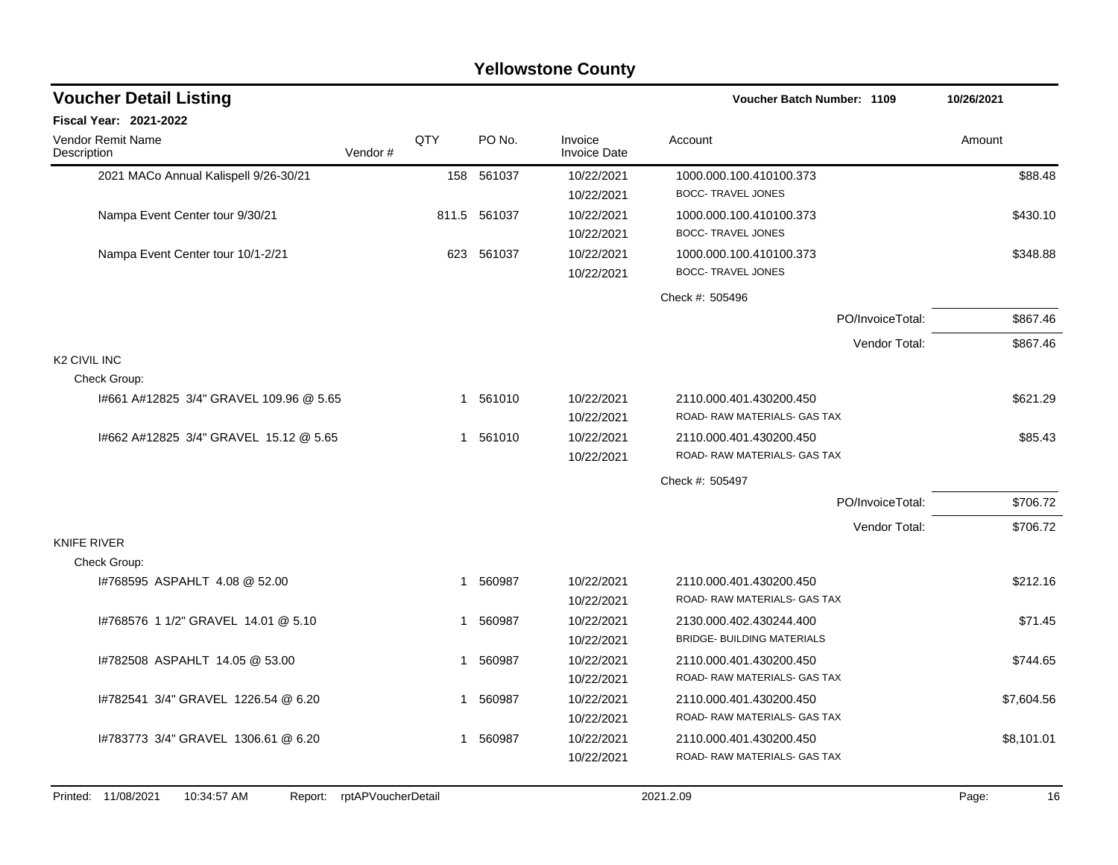| <b>Fiscal Year: 2021-2022</b><br>QTY<br><b>Vendor Remit Name</b><br>PO No.<br>Invoice<br>Account<br>Amount<br><b>Invoice Date</b><br>Description<br>Vendor#<br>2021 MACo Annual Kalispell 9/26-30/21<br>158 561037<br>10/22/2021<br>1000.000.100.410100.373<br><b>BOCC- TRAVEL JONES</b><br>10/22/2021<br>Nampa Event Center tour 9/30/21<br>811.5 561037<br>10/22/2021<br>1000.000.100.410100.373<br><b>BOCC- TRAVEL JONES</b><br>10/22/2021<br>Nampa Event Center tour 10/1-2/21<br>561037<br>10/22/2021<br>623<br>1000.000.100.410100.373<br><b>BOCC- TRAVEL JONES</b><br>10/22/2021<br>Check #: 505496 | \$88.48<br>\$430.10<br>\$348.88<br>\$867.46 |
|------------------------------------------------------------------------------------------------------------------------------------------------------------------------------------------------------------------------------------------------------------------------------------------------------------------------------------------------------------------------------------------------------------------------------------------------------------------------------------------------------------------------------------------------------------------------------------------------------------|---------------------------------------------|
|                                                                                                                                                                                                                                                                                                                                                                                                                                                                                                                                                                                                            |                                             |
|                                                                                                                                                                                                                                                                                                                                                                                                                                                                                                                                                                                                            |                                             |
|                                                                                                                                                                                                                                                                                                                                                                                                                                                                                                                                                                                                            |                                             |
|                                                                                                                                                                                                                                                                                                                                                                                                                                                                                                                                                                                                            |                                             |
|                                                                                                                                                                                                                                                                                                                                                                                                                                                                                                                                                                                                            |                                             |
|                                                                                                                                                                                                                                                                                                                                                                                                                                                                                                                                                                                                            |                                             |
| PO/InvoiceTotal:                                                                                                                                                                                                                                                                                                                                                                                                                                                                                                                                                                                           |                                             |
| Vendor Total:                                                                                                                                                                                                                                                                                                                                                                                                                                                                                                                                                                                              | \$867.46                                    |
| K2 CIVIL INC                                                                                                                                                                                                                                                                                                                                                                                                                                                                                                                                                                                               |                                             |
| Check Group:                                                                                                                                                                                                                                                                                                                                                                                                                                                                                                                                                                                               |                                             |
| 561010<br>10/22/2021<br>1#661 A#12825 3/4" GRAVEL 109.96 @ 5.65<br>2110.000.401.430200.450<br>$\mathbf 1$<br>ROAD- RAW MATERIALS- GAS TAX<br>10/22/2021                                                                                                                                                                                                                                                                                                                                                                                                                                                    | \$621.29                                    |
| 1#662 A#12825 3/4" GRAVEL 15.12 @ 5.65<br>561010<br>10/22/2021<br>$\mathbf{1}$<br>2110.000.401.430200.450<br>ROAD-RAW MATERIALS-GAS TAX<br>10/22/2021                                                                                                                                                                                                                                                                                                                                                                                                                                                      | \$85.43                                     |
| Check #: 505497                                                                                                                                                                                                                                                                                                                                                                                                                                                                                                                                                                                            |                                             |
| PO/InvoiceTotal:                                                                                                                                                                                                                                                                                                                                                                                                                                                                                                                                                                                           | \$706.72                                    |
| Vendor Total:                                                                                                                                                                                                                                                                                                                                                                                                                                                                                                                                                                                              | \$706.72                                    |
| <b>KNIFE RIVER</b>                                                                                                                                                                                                                                                                                                                                                                                                                                                                                                                                                                                         |                                             |
| Check Group:                                                                                                                                                                                                                                                                                                                                                                                                                                                                                                                                                                                               |                                             |
| 1#768595 ASPAHLT 4.08 @ 52.00<br>560987<br>10/22/2021<br>2110.000.401.430200.450<br>1<br>ROAD-RAW MATERIALS- GAS TAX<br>10/22/2021                                                                                                                                                                                                                                                                                                                                                                                                                                                                         | \$212.16                                    |
| 1#768576 1 1/2" GRAVEL 14.01 @ 5.10<br>10/22/2021<br>560987<br>2130.000.402.430244.400<br>1<br><b>BRIDGE- BUILDING MATERIALS</b><br>10/22/2021                                                                                                                                                                                                                                                                                                                                                                                                                                                             | \$71.45                                     |
| 10/22/2021<br>1#782508 ASPAHLT 14.05 @ 53.00<br>560987<br>2110.000.401.430200.450<br>1<br>ROAD- RAW MATERIALS- GAS TAX<br>10/22/2021                                                                                                                                                                                                                                                                                                                                                                                                                                                                       | \$744.65                                    |
| 1#782541 3/4" GRAVEL 1226.54 @ 6.20<br>10/22/2021<br>560987<br>2110.000.401.430200.450<br>1<br>ROAD- RAW MATERIALS- GAS TAX<br>10/22/2021                                                                                                                                                                                                                                                                                                                                                                                                                                                                  | \$7,604.56                                  |
| 1#783773 3/4" GRAVEL 1306.61 @ 6.20<br>560987<br>10/22/2021<br>2110.000.401.430200.450<br>1<br>ROAD- RAW MATERIALS- GAS TAX<br>10/22/2021                                                                                                                                                                                                                                                                                                                                                                                                                                                                  | \$8,101.01                                  |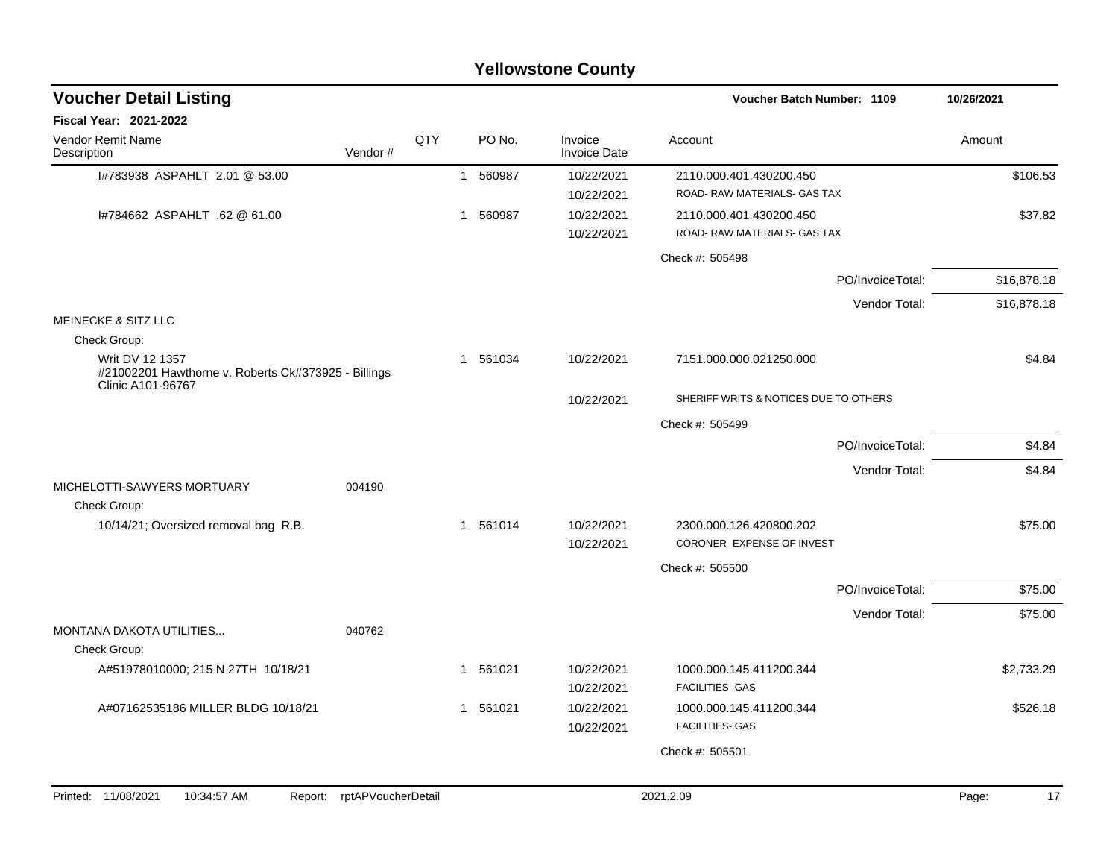|                                                                                        |                            |     |          | <b>Yellowstone County</b>      | Voucher Batch Number: 1109                              |                  | 10/26/2021  |
|----------------------------------------------------------------------------------------|----------------------------|-----|----------|--------------------------------|---------------------------------------------------------|------------------|-------------|
| <b>Voucher Detail Listing</b><br><b>Fiscal Year: 2021-2022</b>                         |                            |     |          |                                |                                                         |                  |             |
| Vendor Remit Name<br>Description                                                       | Vendor#                    | QTY | PO No.   | Invoice<br><b>Invoice Date</b> | Account                                                 |                  | Amount      |
| I#783938 ASPAHLT 2.01 @ 53.00                                                          |                            |     | 1 560987 | 10/22/2021<br>10/22/2021       | 2110.000.401.430200.450<br>ROAD- RAW MATERIALS- GAS TAX |                  | \$106.53    |
| 1#784662 ASPAHLT .62 @ 61.00                                                           |                            |     | 1 560987 | 10/22/2021<br>10/22/2021       | 2110.000.401.430200.450<br>ROAD-RAW MATERIALS- GAS TAX  |                  | \$37.82     |
|                                                                                        |                            |     |          |                                | Check #: 505498                                         |                  |             |
|                                                                                        |                            |     |          |                                |                                                         | PO/InvoiceTotal: | \$16,878.18 |
|                                                                                        |                            |     |          |                                |                                                         | Vendor Total:    | \$16,878.18 |
| <b>MEINECKE &amp; SITZ LLC</b>                                                         |                            |     |          |                                |                                                         |                  |             |
| Check Group:<br>Writ DV 12 1357<br>#21002201 Hawthorne v. Roberts Ck#373925 - Billings |                            |     | 1 561034 | 10/22/2021                     | 7151.000.000.021250.000                                 |                  | \$4.84      |
| Clinic A101-96767                                                                      |                            |     |          | 10/22/2021                     | SHERIFF WRITS & NOTICES DUE TO OTHERS                   |                  |             |
|                                                                                        |                            |     |          |                                | Check #: 505499                                         |                  |             |
|                                                                                        |                            |     |          |                                |                                                         | PO/InvoiceTotal: | \$4.84      |
|                                                                                        |                            |     |          |                                |                                                         | Vendor Total:    | \$4.84      |
| MICHELOTTI-SAWYERS MORTUARY<br>Check Group:                                            | 004190                     |     |          |                                |                                                         |                  |             |
| 10/14/21; Oversized removal bag R.B.                                                   |                            |     | 1 561014 | 10/22/2021<br>10/22/2021       | 2300.000.126.420800.202<br>CORONER- EXPENSE OF INVEST   |                  | \$75.00     |
|                                                                                        |                            |     |          |                                | Check #: 505500                                         |                  |             |
|                                                                                        |                            |     |          |                                |                                                         | PO/InvoiceTotal: | \$75.00     |
|                                                                                        |                            |     |          |                                |                                                         | Vendor Total:    | \$75.00     |
| <b>MONTANA DAKOTA UTILITIES</b>                                                        | 040762                     |     |          |                                |                                                         |                  |             |
| Check Group:                                                                           |                            |     |          |                                | 1000.000.145.411200.344                                 |                  |             |
| A#51978010000; 215 N 27TH 10/18/21                                                     |                            |     | 1 561021 | 10/22/2021<br>10/22/2021       | <b>FACILITIES- GAS</b>                                  |                  | \$2,733.29  |
| A#07162535186 MILLER BLDG 10/18/21                                                     |                            |     | 1 561021 | 10/22/2021<br>10/22/2021       | 1000.000.145.411200.344<br><b>FACILITIES- GAS</b>       |                  | \$526.18    |
|                                                                                        |                            |     |          |                                | Check #: 505501                                         |                  |             |
|                                                                                        |                            |     |          |                                |                                                         |                  |             |
| Printed: 11/08/2021<br>10:34:57 AM                                                     | Report: rptAPVoucherDetail |     |          |                                | 2021.2.09                                               |                  | Page:<br>17 |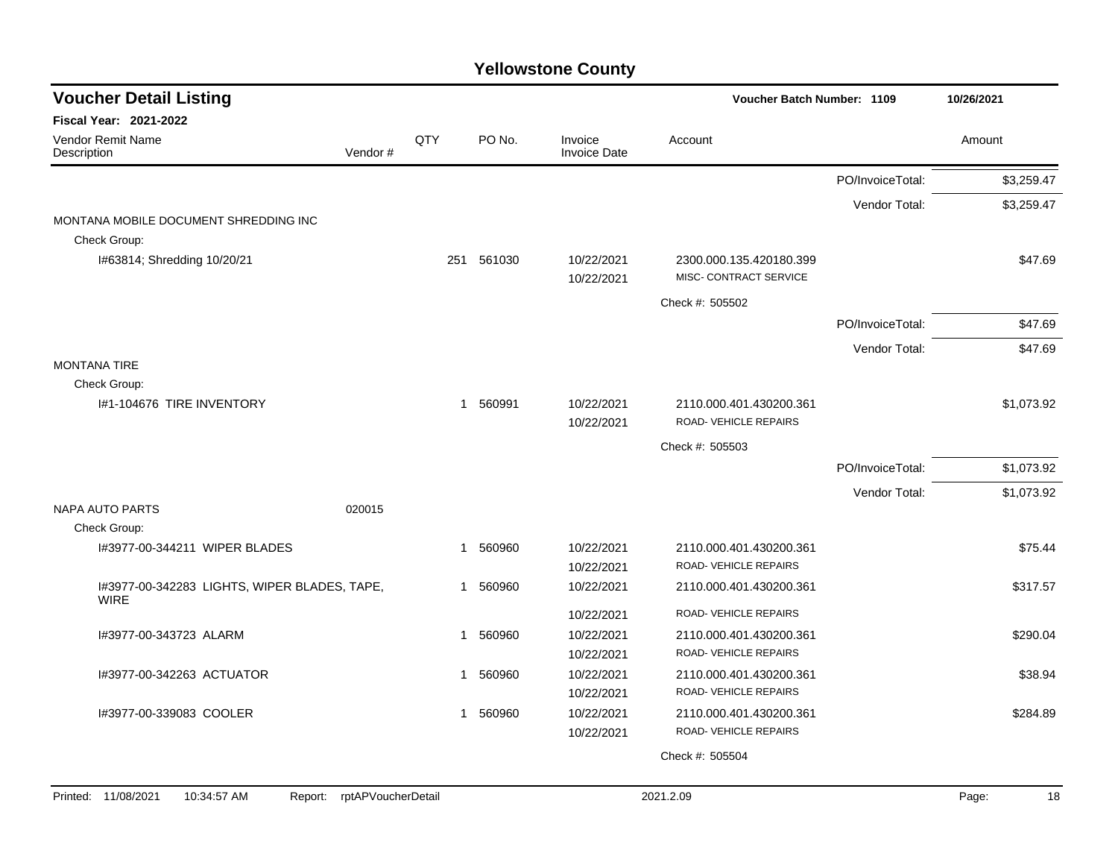| <b>Voucher Detail Listing</b><br>Voucher Batch Number: 1109 |                    |              | 10/26/2021 |                                |                                                   |                  |             |
|-------------------------------------------------------------|--------------------|--------------|------------|--------------------------------|---------------------------------------------------|------------------|-------------|
| Fiscal Year: 2021-2022                                      |                    |              |            |                                |                                                   |                  |             |
| Vendor Remit Name<br>Description                            | Vendor#            | QTY          | PO No.     | Invoice<br><b>Invoice Date</b> | Account                                           |                  | Amount      |
|                                                             |                    |              |            |                                |                                                   | PO/InvoiceTotal: | \$3,259.47  |
|                                                             |                    |              |            |                                |                                                   | Vendor Total:    | \$3,259.47  |
| MONTANA MOBILE DOCUMENT SHREDDING INC<br>Check Group:       |                    |              |            |                                |                                                   |                  |             |
| I#63814; Shredding 10/20/21                                 |                    | 251          | 561030     | 10/22/2021<br>10/22/2021       | 2300.000.135.420180.399<br>MISC- CONTRACT SERVICE |                  | \$47.69     |
|                                                             |                    |              |            |                                | Check #: 505502                                   |                  |             |
|                                                             |                    |              |            |                                |                                                   | PO/InvoiceTotal: | \$47.69     |
|                                                             |                    |              |            |                                |                                                   | Vendor Total:    | \$47.69     |
| <b>MONTANA TIRE</b>                                         |                    |              |            |                                |                                                   |                  |             |
| Check Group:                                                |                    |              |            |                                |                                                   |                  |             |
| I#1-104676 TIRE INVENTORY                                   |                    | $\mathbf{1}$ | 560991     | 10/22/2021<br>10/22/2021       | 2110.000.401.430200.361<br>ROAD-VEHICLE REPAIRS   |                  | \$1,073.92  |
|                                                             |                    |              |            |                                | Check #: 505503                                   |                  |             |
|                                                             |                    |              |            |                                |                                                   | PO/InvoiceTotal: | \$1,073.92  |
|                                                             |                    |              |            |                                |                                                   | Vendor Total:    | \$1,073.92  |
| <b>NAPA AUTO PARTS</b>                                      | 020015             |              |            |                                |                                                   |                  |             |
| Check Group:                                                |                    |              |            |                                |                                                   |                  |             |
| I#3977-00-344211 WIPER BLADES                               |                    | -1           | 560960     | 10/22/2021                     | 2110.000.401.430200.361                           |                  | \$75.44     |
|                                                             |                    |              |            | 10/22/2021                     | ROAD-VEHICLE REPAIRS                              |                  |             |
| I#3977-00-342283 LIGHTS, WIPER BLADES, TAPE,<br><b>WIRE</b> |                    |              | 1 560960   | 10/22/2021                     | 2110.000.401.430200.361                           |                  | \$317.57    |
|                                                             |                    |              |            | 10/22/2021                     | ROAD-VEHICLE REPAIRS                              |                  |             |
| I#3977-00-343723 ALARM                                      |                    | $\mathbf{1}$ | 560960     | 10/22/2021                     | 2110.000.401.430200.361                           |                  | \$290.04    |
|                                                             |                    |              |            | 10/22/2021                     | ROAD-VEHICLE REPAIRS                              |                  |             |
| I#3977-00-342263 ACTUATOR                                   |                    |              | 1 560960   | 10/22/2021                     | 2110.000.401.430200.361                           |                  | \$38.94     |
|                                                             |                    |              |            | 10/22/2021                     | ROAD-VEHICLE REPAIRS                              |                  |             |
| I#3977-00-339083 COOLER                                     |                    |              | 1 560960   | 10/22/2021                     | 2110.000.401.430200.361                           |                  | \$284.89    |
|                                                             |                    |              |            | 10/22/2021                     | ROAD-VEHICLE REPAIRS                              |                  |             |
|                                                             |                    |              |            |                                | Check #: 505504                                   |                  |             |
|                                                             |                    |              |            |                                |                                                   |                  |             |
| Printed: 11/08/2021<br>10:34:57 AM<br>Report:               | rptAPVoucherDetail |              |            |                                | 2021.2.09                                         |                  | Page:<br>18 |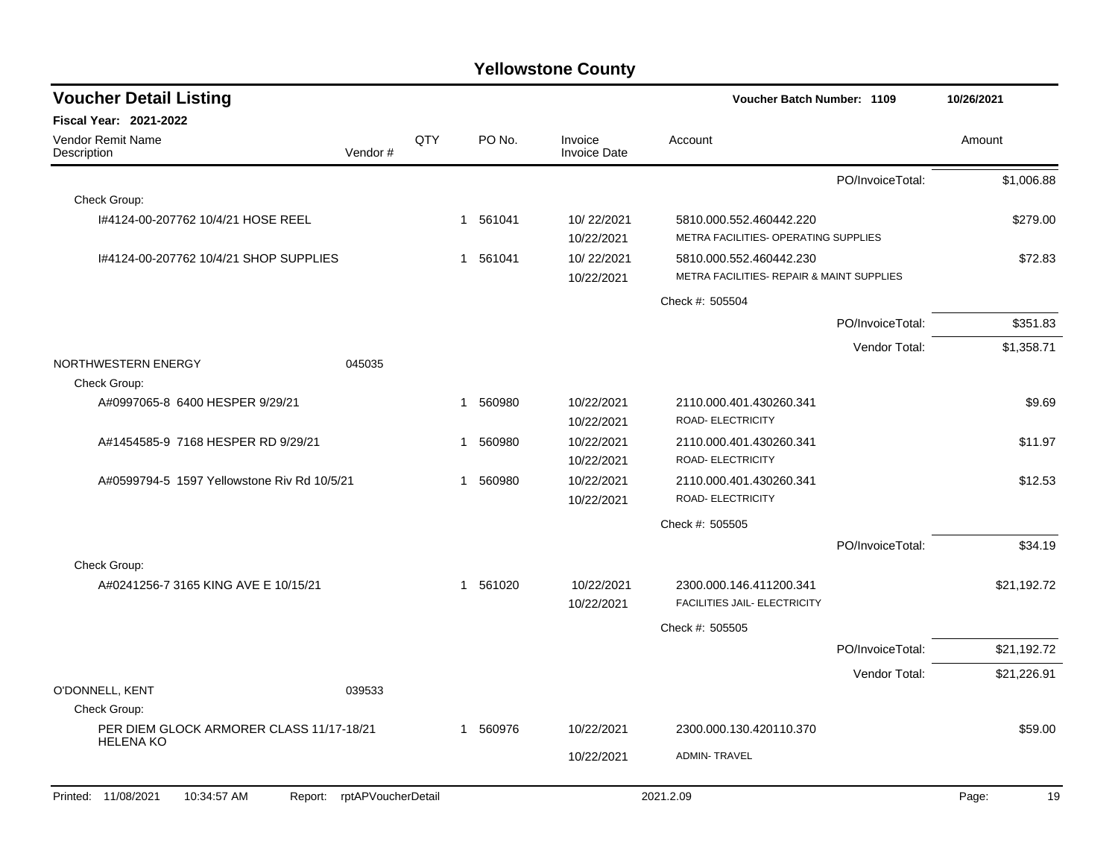| <b>Voucher Detail Listing</b>                                    |         |             |        |                                | Voucher Batch Number: 1109                                           |                  | 10/26/2021  |
|------------------------------------------------------------------|---------|-------------|--------|--------------------------------|----------------------------------------------------------------------|------------------|-------------|
| Fiscal Year: 2021-2022                                           |         |             |        |                                |                                                                      |                  |             |
| <b>Vendor Remit Name</b><br>Description                          | Vendor# | QTY         | PO No. | Invoice<br><b>Invoice Date</b> | Account                                                              |                  | Amount      |
|                                                                  |         |             |        |                                |                                                                      | PO/InvoiceTotal: | \$1,006.88  |
| Check Group:                                                     |         |             |        |                                |                                                                      |                  |             |
| 1#4124-00-207762 10/4/21 HOSE REEL                               |         | $\mathbf 1$ | 561041 | 10/22/2021<br>10/22/2021       | 5810.000.552.460442.220<br>METRA FACILITIES- OPERATING SUPPLIES      |                  | \$279.00    |
| I#4124-00-207762 10/4/21 SHOP SUPPLIES                           |         | 1           | 561041 | 10/22/2021<br>10/22/2021       | 5810.000.552.460442.230<br>METRA FACILITIES- REPAIR & MAINT SUPPLIES |                  | \$72.83     |
|                                                                  |         |             |        |                                | Check #: 505504                                                      |                  |             |
|                                                                  |         |             |        |                                |                                                                      | PO/InvoiceTotal: | \$351.83    |
|                                                                  |         |             |        |                                |                                                                      | Vendor Total:    | \$1,358.71  |
| NORTHWESTERN ENERGY<br>Check Group:                              | 045035  |             |        |                                |                                                                      |                  |             |
| A#0997065-8 6400 HESPER 9/29/21                                  |         | 1           | 560980 | 10/22/2021<br>10/22/2021       | 2110.000.401.430260.341<br>ROAD- ELECTRICITY                         |                  | \$9.69      |
| A#1454585-9 7168 HESPER RD 9/29/21                               |         | 1           | 560980 | 10/22/2021<br>10/22/2021       | 2110.000.401.430260.341<br>ROAD- ELECTRICITY                         |                  | \$11.97     |
| A#0599794-5 1597 Yellowstone Riv Rd 10/5/21                      |         | 1           | 560980 | 10/22/2021<br>10/22/2021       | 2110.000.401.430260.341<br><b>ROAD- ELECTRICITY</b>                  |                  | \$12.53     |
|                                                                  |         |             |        |                                | Check #: 505505                                                      |                  |             |
|                                                                  |         |             |        |                                |                                                                      | PO/InvoiceTotal: | \$34.19     |
| Check Group:                                                     |         |             |        |                                |                                                                      |                  |             |
| A#0241256-7 3165 KING AVE E 10/15/21                             |         | 1           | 561020 | 10/22/2021<br>10/22/2021       | 2300.000.146.411200.341<br><b>FACILITIES JAIL- ELECTRICITY</b>       |                  | \$21,192.72 |
|                                                                  |         |             |        |                                | Check #: 505505                                                      |                  |             |
|                                                                  |         |             |        |                                |                                                                      | PO/InvoiceTotal: | \$21,192.72 |
|                                                                  |         |             |        |                                |                                                                      | Vendor Total:    | \$21,226.91 |
| O'DONNELL, KENT                                                  | 039533  |             |        |                                |                                                                      |                  |             |
| Check Group:                                                     |         |             |        |                                |                                                                      |                  |             |
| PER DIEM GLOCK ARMORER CLASS 11/17-18/21<br><b>HELENA KO</b>     |         | 1           | 560976 | 10/22/2021                     | 2300.000.130.420110.370                                              |                  | \$59.00     |
|                                                                  |         |             |        | 10/22/2021                     | <b>ADMIN-TRAVEL</b>                                                  |                  |             |
| 10:34:57 AM<br>Report: rptAPVoucherDetail<br>Printed: 11/08/2021 |         |             |        |                                | 2021.2.09                                                            |                  | Page:<br>19 |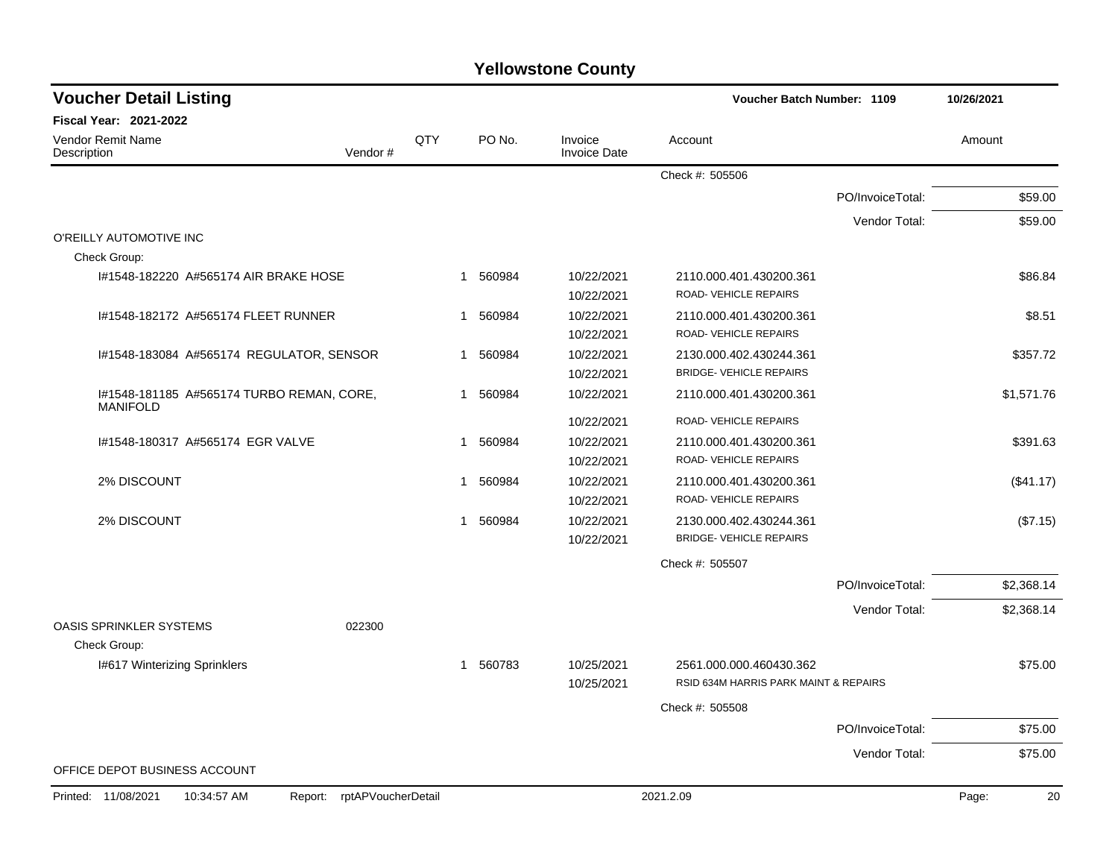| <b>Voucher Detail Listing</b>                                |                               |     |                        |                                | Voucher Batch Number: 1109            |                  | 10/26/2021  |
|--------------------------------------------------------------|-------------------------------|-----|------------------------|--------------------------------|---------------------------------------|------------------|-------------|
| <b>Fiscal Year: 2021-2022</b>                                |                               |     |                        |                                |                                       |                  |             |
| <b>Vendor Remit Name</b><br>Description                      | Vendor#                       | QTY | PO No.                 | Invoice<br><b>Invoice Date</b> | Account                               |                  | Amount      |
|                                                              |                               |     |                        |                                | Check #: 505506                       |                  |             |
|                                                              |                               |     |                        |                                |                                       | PO/InvoiceTotal: | \$59.00     |
|                                                              |                               |     |                        |                                |                                       | Vendor Total:    | \$59.00     |
| O'REILLY AUTOMOTIVE INC                                      |                               |     |                        |                                |                                       |                  |             |
| Check Group:                                                 |                               |     |                        |                                |                                       |                  |             |
| 1#1548-182220 A#565174 AIR BRAKE HOSE                        |                               |     | 560984<br>$\mathbf{1}$ | 10/22/2021                     | 2110.000.401.430200.361               |                  | \$86.84     |
|                                                              |                               |     |                        | 10/22/2021                     | ROAD-VEHICLE REPAIRS                  |                  |             |
| I#1548-182172 A#565174 FLEET RUNNER                          |                               |     | 560984<br>1            | 10/22/2021                     | 2110.000.401.430200.361               |                  | \$8.51      |
|                                                              |                               |     |                        | 10/22/2021                     | ROAD-VEHICLE REPAIRS                  |                  |             |
| I#1548-183084 A#565174 REGULATOR, SENSOR                     |                               |     | 560984<br>$\mathbf 1$  | 10/22/2021                     | 2130.000.402.430244.361               |                  | \$357.72    |
|                                                              |                               |     |                        | 10/22/2021                     | <b>BRIDGE- VEHICLE REPAIRS</b>        |                  |             |
| I#1548-181185 A#565174 TURBO REMAN, CORE,<br><b>MANIFOLD</b> |                               |     | 560984<br>$\mathbf{1}$ | 10/22/2021                     | 2110.000.401.430200.361               |                  | \$1,571.76  |
|                                                              |                               |     |                        | 10/22/2021                     | ROAD-VEHICLE REPAIRS                  |                  |             |
| 1#1548-180317 A#565174 EGR VALVE                             |                               |     | 560984<br>$\mathbf{1}$ | 10/22/2021                     | 2110.000.401.430200.361               |                  | \$391.63    |
|                                                              |                               |     |                        | 10/22/2021                     | ROAD-VEHICLE REPAIRS                  |                  |             |
| 2% DISCOUNT                                                  |                               |     | 560984<br>$\mathbf{1}$ | 10/22/2021                     | 2110.000.401.430200.361               |                  | (\$41.17)   |
|                                                              |                               |     |                        | 10/22/2021                     | ROAD-VEHICLE REPAIRS                  |                  |             |
| 2% DISCOUNT                                                  |                               |     | 1 560984               | 10/22/2021                     | 2130.000.402.430244.361               |                  | (\$7.15)    |
|                                                              |                               |     |                        | 10/22/2021                     | <b>BRIDGE- VEHICLE REPAIRS</b>        |                  |             |
|                                                              |                               |     |                        |                                | Check #: 505507                       |                  |             |
|                                                              |                               |     |                        |                                |                                       | PO/InvoiceTotal: | \$2,368.14  |
|                                                              |                               |     |                        |                                |                                       | Vendor Total:    | \$2,368.14  |
| <b>OASIS SPRINKLER SYSTEMS</b>                               | 022300                        |     |                        |                                |                                       |                  |             |
| Check Group:                                                 |                               |     |                        |                                |                                       |                  |             |
| I#617 Winterizing Sprinklers                                 |                               |     | 1 560783               | 10/25/2021                     | 2561.000.000.460430.362               |                  | \$75.00     |
|                                                              |                               |     |                        | 10/25/2021                     | RSID 634M HARRIS PARK MAINT & REPAIRS |                  |             |
|                                                              |                               |     |                        |                                | Check #: 505508                       |                  |             |
|                                                              |                               |     |                        |                                |                                       | PO/InvoiceTotal: | \$75.00     |
|                                                              |                               |     |                        |                                |                                       | Vendor Total:    | \$75.00     |
| OFFICE DEPOT BUSINESS ACCOUNT                                |                               |     |                        |                                |                                       |                  |             |
| Printed: 11/08/2021<br>10:34:57 AM                           | rptAPVoucherDetail<br>Report: |     |                        |                                | 2021.2.09                             |                  | 20<br>Page: |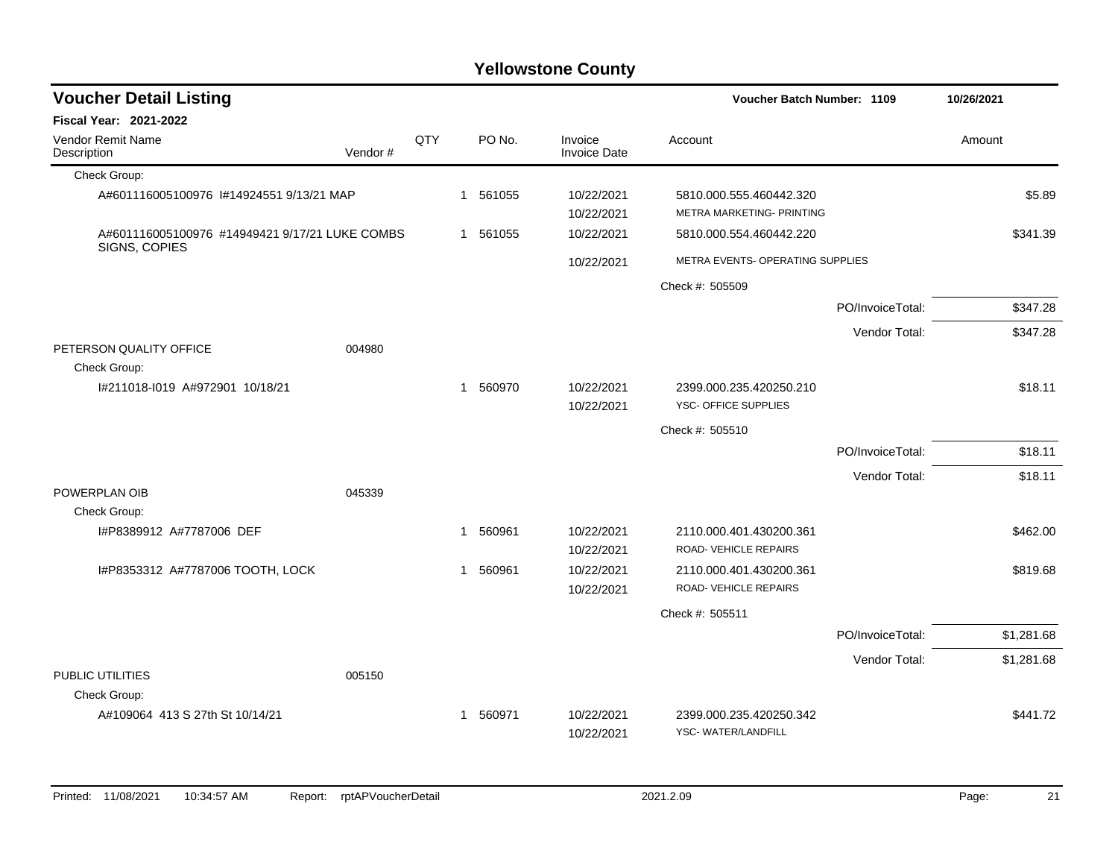| <b>Voucher Detail Listing</b>                  |         |     |             |          |                                |                                                      | Voucher Batch Number: 1109 |            |  |
|------------------------------------------------|---------|-----|-------------|----------|--------------------------------|------------------------------------------------------|----------------------------|------------|--|
| Fiscal Year: 2021-2022                         |         |     |             |          |                                |                                                      |                            |            |  |
| Vendor Remit Name<br>Description               | Vendor# | QTY |             | PO No.   | Invoice<br><b>Invoice Date</b> | Account                                              |                            | Amount     |  |
| Check Group:                                   |         |     |             |          |                                |                                                      |                            |            |  |
| A#601116005100976 1#14924551 9/13/21 MAP       |         |     |             | 1 561055 | 10/22/2021<br>10/22/2021       | 5810.000.555.460442.320<br>METRA MARKETING- PRINTING |                            | \$5.89     |  |
| A#601116005100976 #14949421 9/17/21 LUKE COMBS |         |     |             | 1 561055 | 10/22/2021                     | 5810.000.554.460442.220                              |                            | \$341.39   |  |
| SIGNS, COPIES                                  |         |     |             |          | 10/22/2021                     | METRA EVENTS- OPERATING SUPPLIES                     |                            |            |  |
|                                                |         |     |             |          |                                | Check #: 505509                                      |                            |            |  |
|                                                |         |     |             |          |                                |                                                      | PO/InvoiceTotal:           | \$347.28   |  |
|                                                |         |     |             |          |                                |                                                      | Vendor Total:              | \$347.28   |  |
| PETERSON QUALITY OFFICE<br>Check Group:        | 004980  |     |             |          |                                |                                                      |                            |            |  |
| I#211018-I019 A#972901 10/18/21                |         |     |             | 1 560970 | 10/22/2021<br>10/22/2021       | 2399.000.235.420250.210<br>YSC- OFFICE SUPPLIES      |                            | \$18.11    |  |
|                                                |         |     |             |          |                                | Check #: 505510                                      |                            |            |  |
|                                                |         |     |             |          |                                |                                                      | PO/InvoiceTotal:           | \$18.11    |  |
|                                                |         |     |             |          |                                |                                                      | Vendor Total:              | \$18.11    |  |
| POWERPLAN OIB                                  | 045339  |     |             |          |                                |                                                      |                            |            |  |
| Check Group:                                   |         |     |             |          |                                |                                                      |                            |            |  |
| I#P8389912 A#7787006 DEF                       |         |     | $\mathbf 1$ | 560961   | 10/22/2021<br>10/22/2021       | 2110.000.401.430200.361<br>ROAD-VEHICLE REPAIRS      |                            | \$462.00   |  |
| I#P8353312 A#7787006 TOOTH, LOCK               |         |     |             | 1 560961 | 10/22/2021<br>10/22/2021       | 2110.000.401.430200.361<br>ROAD-VEHICLE REPAIRS      |                            | \$819.68   |  |
|                                                |         |     |             |          |                                | Check #: 505511                                      |                            |            |  |
|                                                |         |     |             |          |                                |                                                      | PO/InvoiceTotal:           | \$1,281.68 |  |
|                                                |         |     |             |          |                                |                                                      | Vendor Total:              | \$1,281.68 |  |
| PUBLIC UTILITIES                               | 005150  |     |             |          |                                |                                                      |                            |            |  |
| Check Group:                                   |         |     |             |          |                                |                                                      |                            |            |  |
| A#109064 413 S 27th St 10/14/21                |         |     |             | 1 560971 | 10/22/2021<br>10/22/2021       | 2399.000.235.420250.342<br>YSC-WATER/LANDFILL        |                            | \$441.72   |  |
|                                                |         |     |             |          |                                |                                                      |                            |            |  |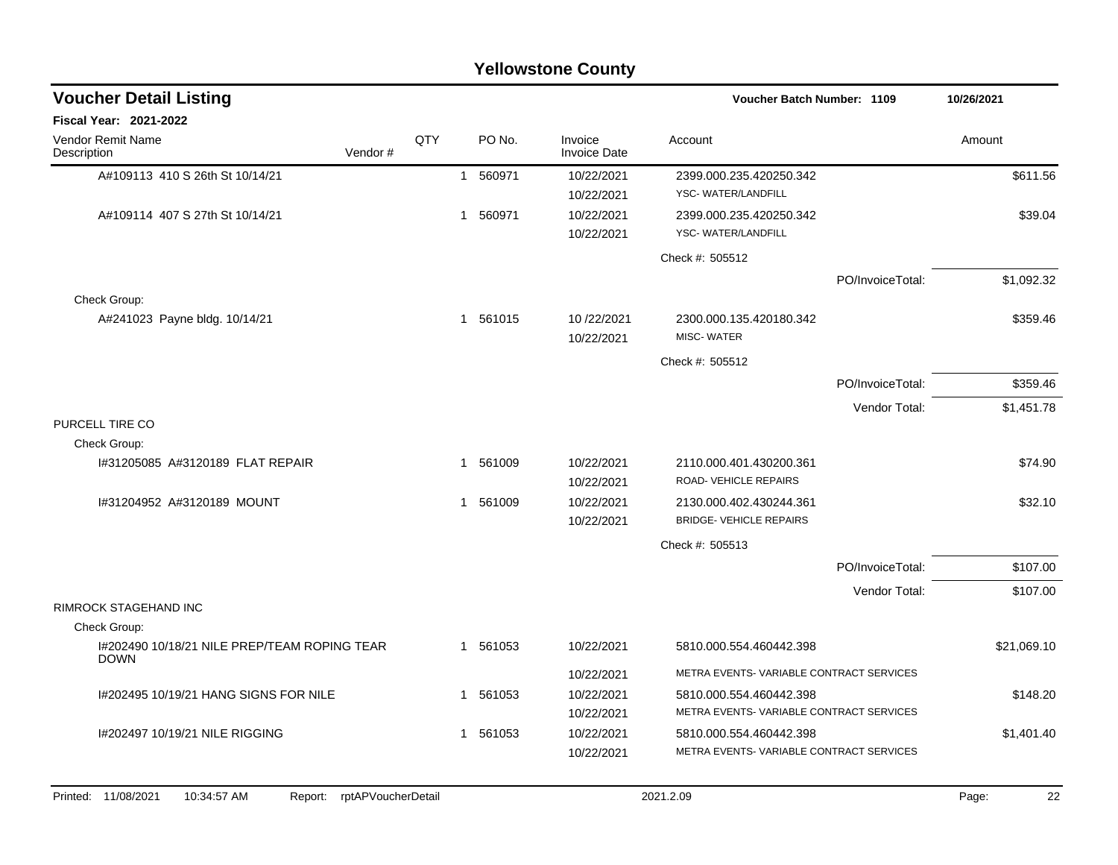| <b>Yellowstone County</b>                                        |         |     |   |          |                                |                                                 |                  |             |  |  |  |  |
|------------------------------------------------------------------|---------|-----|---|----------|--------------------------------|-------------------------------------------------|------------------|-------------|--|--|--|--|
| <b>Voucher Detail Listing</b>                                    |         |     |   |          |                                | <b>Voucher Batch Number: 1109</b>               |                  | 10/26/2021  |  |  |  |  |
| Fiscal Year: 2021-2022                                           |         |     |   |          |                                |                                                 |                  |             |  |  |  |  |
| Vendor Remit Name<br>Description                                 | Vendor# | QTY |   | PO No.   | Invoice<br><b>Invoice Date</b> | Account                                         |                  | Amount      |  |  |  |  |
| A#109113 410 S 26th St 10/14/21                                  |         |     |   | 1 560971 | 10/22/2021<br>10/22/2021       | 2399.000.235.420250.342<br>YSC- WATER/LANDFILL  |                  | \$611.56    |  |  |  |  |
| A#109114 407 S 27th St 10/14/21                                  |         |     | 1 | 560971   | 10/22/2021<br>10/22/2021       | 2399.000.235.420250.342<br>YSC-WATER/LANDFILL   |                  | \$39.04     |  |  |  |  |
|                                                                  |         |     |   |          |                                | Check #: 505512                                 |                  |             |  |  |  |  |
|                                                                  |         |     |   |          |                                |                                                 | PO/InvoiceTotal: | \$1,092.32  |  |  |  |  |
| Check Group:                                                     |         |     |   |          |                                |                                                 |                  |             |  |  |  |  |
| A#241023 Payne bldg. 10/14/21                                    |         |     |   | 1 561015 | 10/22/2021<br>10/22/2021       | 2300.000.135.420180.342<br><b>MISC-WATER</b>    |                  | \$359.46    |  |  |  |  |
|                                                                  |         |     |   |          |                                | Check #: 505512                                 |                  |             |  |  |  |  |
|                                                                  |         |     |   |          |                                |                                                 | PO/InvoiceTotal: | \$359.46    |  |  |  |  |
|                                                                  |         |     |   |          |                                |                                                 | Vendor Total:    | \$1,451.78  |  |  |  |  |
| PURCELL TIRE CO                                                  |         |     |   |          |                                |                                                 |                  |             |  |  |  |  |
| Check Group:                                                     |         |     |   |          |                                |                                                 |                  |             |  |  |  |  |
| I#31205085 A#3120189 FLAT REPAIR                                 |         |     |   | 561009   | 10/22/2021<br>10/22/2021       | 2110.000.401.430200.361<br>ROAD-VEHICLE REPAIRS |                  | \$74.90     |  |  |  |  |
| I#31204952 A#3120189 MOUNT                                       |         |     | 1 | 561009   | 10/22/2021                     | 2130.000.402.430244.361                         |                  | \$32.10     |  |  |  |  |
|                                                                  |         |     |   |          | 10/22/2021                     | <b>BRIDGE- VEHICLE REPAIRS</b>                  |                  |             |  |  |  |  |
|                                                                  |         |     |   |          |                                | Check #: 505513                                 |                  |             |  |  |  |  |
|                                                                  |         |     |   |          |                                |                                                 | PO/InvoiceTotal: | \$107.00    |  |  |  |  |
|                                                                  |         |     |   |          |                                |                                                 | Vendor Total:    | \$107.00    |  |  |  |  |
| RIMROCK STAGEHAND INC                                            |         |     |   |          |                                |                                                 |                  |             |  |  |  |  |
| Check Group:                                                     |         |     |   |          |                                |                                                 |                  |             |  |  |  |  |
| I#202490 10/18/21 NILE PREP/TEAM ROPING TEAR<br><b>DOWN</b>      |         |     |   | 1 561053 | 10/22/2021                     | 5810.000.554.460442.398                         |                  | \$21,069.10 |  |  |  |  |
|                                                                  |         |     |   |          | 10/22/2021                     | METRA EVENTS-VARIABLE CONTRACT SERVICES         |                  |             |  |  |  |  |
| I#202495 10/19/21 HANG SIGNS FOR NILE                            |         |     |   | 1 561053 | 10/22/2021                     | 5810.000.554.460442.398                         |                  | \$148.20    |  |  |  |  |
|                                                                  |         |     |   |          | 10/22/2021                     | METRA EVENTS-VARIABLE CONTRACT SERVICES         |                  |             |  |  |  |  |
| I#202497 10/19/21 NILE RIGGING                                   |         |     |   | 1 561053 | 10/22/2021                     | 5810.000.554.460442.398                         |                  | \$1,401.40  |  |  |  |  |
|                                                                  |         |     |   |          | 10/22/2021                     | METRA EVENTS-VARIABLE CONTRACT SERVICES         |                  |             |  |  |  |  |
|                                                                  |         |     |   |          |                                |                                                 |                  |             |  |  |  |  |
| Printed: 11/08/2021<br>Report: rptAPVoucherDetail<br>10:34:57 AM |         |     |   |          |                                | 2021.2.09                                       |                  | Page:<br>22 |  |  |  |  |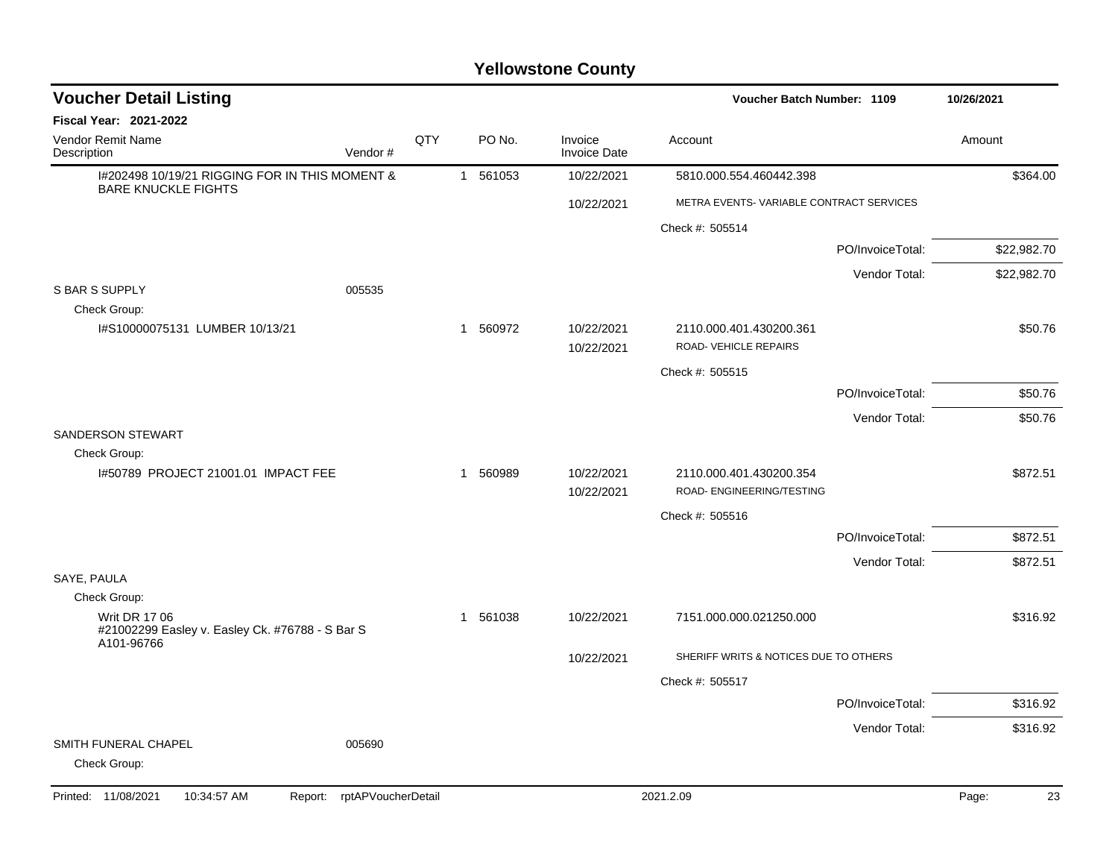| <b>Voucher Detail Listing</b>                                                  |     |          |                                |                                                      | Voucher Batch Number: 1109 |             |  |
|--------------------------------------------------------------------------------|-----|----------|--------------------------------|------------------------------------------------------|----------------------------|-------------|--|
| <b>Fiscal Year: 2021-2022</b>                                                  |     |          |                                |                                                      |                            |             |  |
| <b>Vendor Remit Name</b><br>Description<br>Vendor#                             | QTY | PO No.   | Invoice<br><b>Invoice Date</b> | Account                                              |                            | Amount      |  |
| I#202498 10/19/21 RIGGING FOR IN THIS MOMENT &<br><b>BARE KNUCKLE FIGHTS</b>   |     | 1 561053 | 10/22/2021                     | 5810.000.554.460442.398                              |                            | \$364.00    |  |
|                                                                                |     |          | 10/22/2021                     | METRA EVENTS-VARIABLE CONTRACT SERVICES              |                            |             |  |
|                                                                                |     |          |                                | Check #: 505514                                      |                            |             |  |
|                                                                                |     |          |                                |                                                      | PO/InvoiceTotal:           | \$22,982.70 |  |
|                                                                                |     |          |                                |                                                      | Vendor Total:              | \$22,982.70 |  |
| <b>S BAR S SUPPLY</b><br>005535                                                |     |          |                                |                                                      |                            |             |  |
| Check Group:                                                                   |     |          |                                |                                                      |                            |             |  |
| I#S10000075131 LUMBER 10/13/21                                                 |     | 1 560972 | 10/22/2021<br>10/22/2021       | 2110.000.401.430200.361<br>ROAD- VEHICLE REPAIRS     |                            | \$50.76     |  |
|                                                                                |     |          |                                | Check #: 505515                                      |                            |             |  |
|                                                                                |     |          |                                |                                                      | PO/InvoiceTotal:           | \$50.76     |  |
|                                                                                |     |          |                                |                                                      | Vendor Total:              | \$50.76     |  |
| <b>SANDERSON STEWART</b>                                                       |     |          |                                |                                                      |                            |             |  |
| Check Group:                                                                   |     |          |                                |                                                      |                            |             |  |
| 1#50789 PROJECT 21001.01 IMPACT FEE                                            |     | 1 560989 | 10/22/2021<br>10/22/2021       | 2110.000.401.430200.354<br>ROAD- ENGINEERING/TESTING |                            | \$872.51    |  |
|                                                                                |     |          |                                | Check #: 505516                                      |                            |             |  |
|                                                                                |     |          |                                |                                                      | PO/InvoiceTotal:           | \$872.51    |  |
|                                                                                |     |          |                                |                                                      | Vendor Total:              | \$872.51    |  |
| SAYE, PAULA                                                                    |     |          |                                |                                                      |                            |             |  |
| Check Group:                                                                   |     |          |                                |                                                      |                            |             |  |
| Writ DR 17 06<br>#21002299 Easley v. Easley Ck. #76788 - S Bar S<br>A101-96766 |     | 1 561038 | 10/22/2021                     | 7151.000.000.021250.000                              |                            | \$316.92    |  |
|                                                                                |     |          | 10/22/2021                     | SHERIFF WRITS & NOTICES DUE TO OTHERS                |                            |             |  |
|                                                                                |     |          |                                | Check #: 505517                                      |                            |             |  |
|                                                                                |     |          |                                |                                                      | PO/InvoiceTotal:           | \$316.92    |  |
|                                                                                |     |          |                                |                                                      | Vendor Total:              | \$316.92    |  |
| SMITH FUNERAL CHAPEL<br>005690<br>Check Group:                                 |     |          |                                |                                                      |                            |             |  |
| rptAPVoucherDetail<br>Printed: 11/08/2021<br>10:34:57 AM<br>Report:            |     |          |                                | 2021.2.09                                            |                            | Page:<br>23 |  |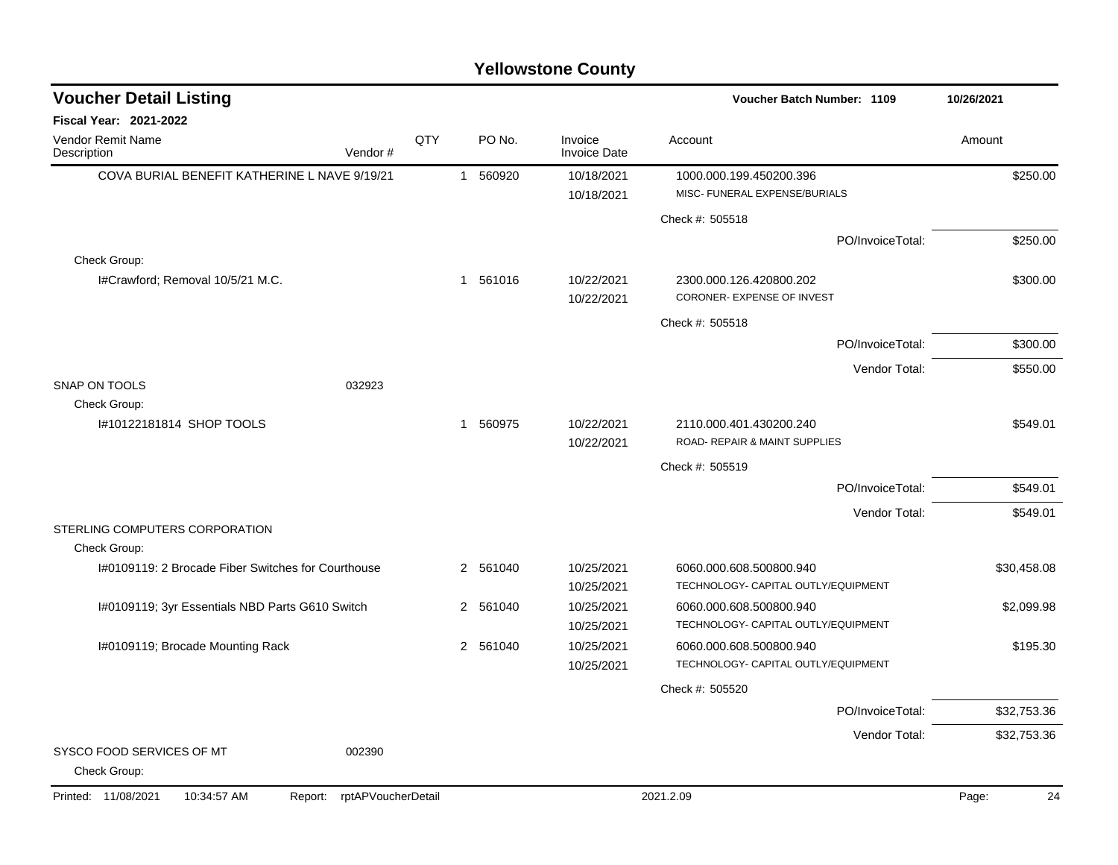| <b>Voucher Detail Listing</b>                       |                    |          |                                | Voucher Batch Number: 1109                               | 10/26/2021  |
|-----------------------------------------------------|--------------------|----------|--------------------------------|----------------------------------------------------------|-------------|
| <b>Fiscal Year: 2021-2022</b>                       |                    |          |                                |                                                          |             |
| <b>Vendor Remit Name</b><br>Vendor#<br>Description  | QTY                | PO No.   | Invoice<br><b>Invoice Date</b> | Account                                                  | Amount      |
| COVA BURIAL BENEFIT KATHERINE L NAVE 9/19/21        |                    | 1 560920 | 10/18/2021<br>10/18/2021       | 1000.000.199.450200.396<br>MISC- FUNERAL EXPENSE/BURIALS | \$250.00    |
|                                                     |                    |          |                                | Check #: 505518                                          |             |
|                                                     |                    |          |                                | PO/InvoiceTotal:                                         | \$250.00    |
| Check Group:                                        |                    |          |                                |                                                          |             |
| I#Crawford; Removal 10/5/21 M.C.                    |                    | 1 561016 | 10/22/2021<br>10/22/2021       | 2300.000.126.420800.202<br>CORONER- EXPENSE OF INVEST    | \$300.00    |
|                                                     |                    |          |                                | Check #: 505518                                          |             |
|                                                     |                    |          |                                | PO/InvoiceTotal:                                         | \$300.00    |
|                                                     |                    |          |                                | Vendor Total:                                            | \$550.00    |
| SNAP ON TOOLS<br>032923<br>Check Group:             |                    |          |                                |                                                          |             |
| #10122181814 SHOP TOOLS                             |                    | 1 560975 | 10/22/2021<br>10/22/2021       | 2110.000.401.430200.240<br>ROAD- REPAIR & MAINT SUPPLIES | \$549.01    |
|                                                     |                    |          |                                | Check #: 505519                                          |             |
|                                                     |                    |          |                                | PO/InvoiceTotal:                                         | \$549.01    |
|                                                     |                    |          |                                | Vendor Total:                                            | \$549.01    |
| STERLING COMPUTERS CORPORATION<br>Check Group:      |                    |          |                                |                                                          |             |
| I#0109119: 2 Brocade Fiber Switches for Courthouse  |                    | 2 561040 | 10/25/2021                     | 6060.000.608.500800.940                                  | \$30,458.08 |
|                                                     |                    |          | 10/25/2021                     | TECHNOLOGY- CAPITAL OUTLY/EQUIPMENT                      |             |
| I#0109119; 3yr Essentials NBD Parts G610 Switch     |                    | 2 561040 | 10/25/2021                     | 6060.000.608.500800.940                                  | \$2,099.98  |
|                                                     |                    |          | 10/25/2021                     | TECHNOLOGY- CAPITAL OUTLY/EQUIPMENT                      |             |
| I#0109119; Brocade Mounting Rack                    |                    | 2 561040 | 10/25/2021                     | 6060.000.608.500800.940                                  | \$195.30    |
|                                                     |                    |          | 10/25/2021                     | TECHNOLOGY- CAPITAL OUTLY/EQUIPMENT                      |             |
|                                                     |                    |          |                                | Check #: 505520                                          |             |
|                                                     |                    |          |                                | PO/InvoiceTotal:                                         | \$32,753.36 |
|                                                     |                    |          |                                | Vendor Total:                                            | \$32,753.36 |
| SYSCO FOOD SERVICES OF MT<br>002390<br>Check Group: |                    |          |                                |                                                          |             |
| Printed: 11/08/2021<br>10:34:57 AM<br>Report:       | rptAPVoucherDetail |          |                                | 2021.2.09                                                | Page:<br>24 |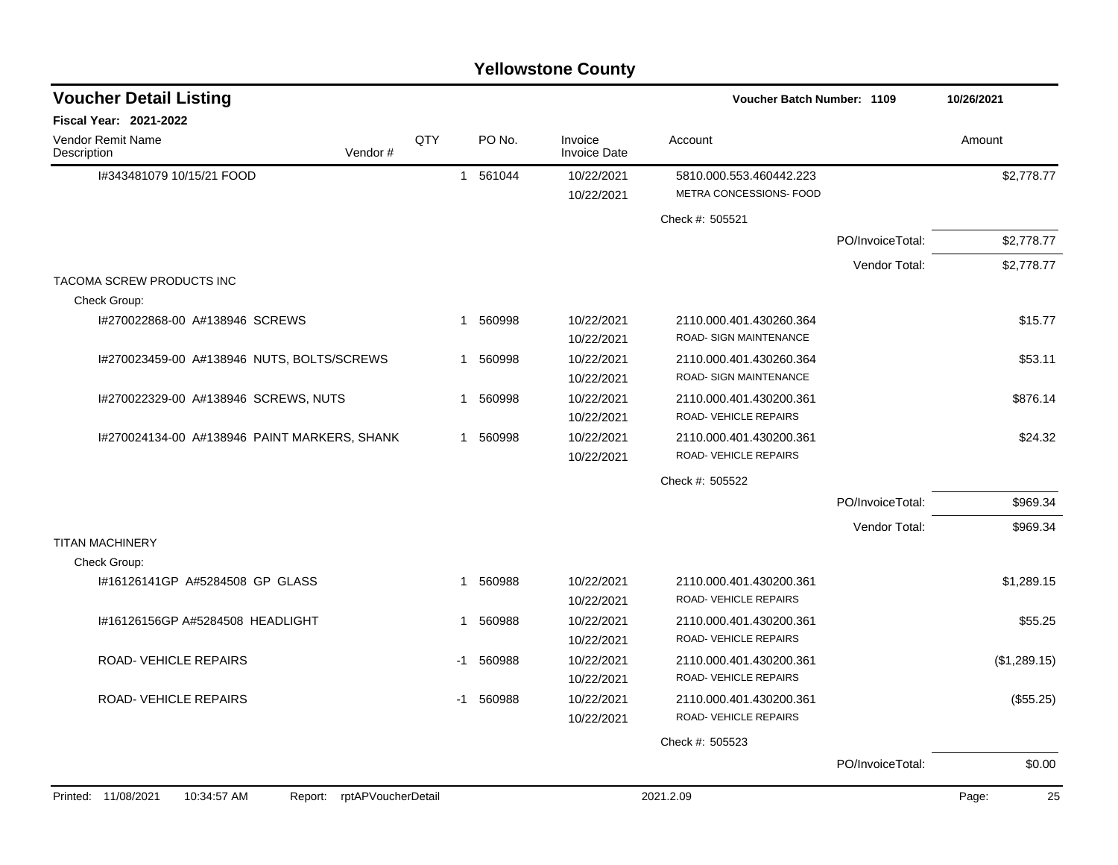| <b>Yellowstone County</b>                      |                    |                        |                                |                                                    |                  |              |  |  |  |  |  |
|------------------------------------------------|--------------------|------------------------|--------------------------------|----------------------------------------------------|------------------|--------------|--|--|--|--|--|
| <b>Voucher Detail Listing</b>                  |                    |                        |                                | <b>Voucher Batch Number: 1109</b>                  |                  | 10/26/2021   |  |  |  |  |  |
| Fiscal Year: 2021-2022                         |                    |                        |                                |                                                    |                  |              |  |  |  |  |  |
| Vendor Remit Name<br>Vendor#<br>Description    | QTY                | PO No.                 | Invoice<br><b>Invoice Date</b> | Account                                            |                  | Amount       |  |  |  |  |  |
| I#343481079 10/15/21 FOOD                      |                    | 1 561044               | 10/22/2021<br>10/22/2021       | 5810.000.553.460442.223<br>METRA CONCESSIONS- FOOD |                  | \$2,778.77   |  |  |  |  |  |
|                                                |                    |                        |                                | Check #: 505521                                    |                  |              |  |  |  |  |  |
|                                                |                    |                        |                                |                                                    | PO/InvoiceTotal: | \$2,778.77   |  |  |  |  |  |
|                                                |                    |                        |                                |                                                    | Vendor Total:    | \$2,778.77   |  |  |  |  |  |
| TACOMA SCREW PRODUCTS INC<br>Check Group:      |                    |                        |                                |                                                    |                  |              |  |  |  |  |  |
| I#270022868-00 A#138946 SCREWS                 |                    | 560998<br>$\mathbf{1}$ | 10/22/2021<br>10/22/2021       | 2110.000.401.430260.364<br>ROAD- SIGN MAINTENANCE  |                  | \$15.77      |  |  |  |  |  |
| I#270023459-00 A#138946 NUTS, BOLTS/SCREWS     |                    | 1 560998               | 10/22/2021<br>10/22/2021       | 2110.000.401.430260.364<br>ROAD- SIGN MAINTENANCE  |                  | \$53.11      |  |  |  |  |  |
| I#270022329-00 A#138946 SCREWS, NUTS           |                    | 560998<br>1            | 10/22/2021<br>10/22/2021       | 2110.000.401.430200.361<br>ROAD-VEHICLE REPAIRS    |                  | \$876.14     |  |  |  |  |  |
| 1#270024134-00 A#138946 PAINT MARKERS, SHANK   |                    | 560998<br>1            | 10/22/2021<br>10/22/2021       | 2110.000.401.430200.361<br>ROAD-VEHICLE REPAIRS    |                  | \$24.32      |  |  |  |  |  |
|                                                |                    |                        |                                | Check #: 505522                                    |                  |              |  |  |  |  |  |
|                                                |                    |                        |                                |                                                    | PO/InvoiceTotal: | \$969.34     |  |  |  |  |  |
|                                                |                    |                        |                                |                                                    | Vendor Total:    | \$969.34     |  |  |  |  |  |
| <b>TITAN MACHINERY</b>                         |                    |                        |                                |                                                    |                  |              |  |  |  |  |  |
| Check Group:<br>#16126141GP A#5284508 GP GLASS |                    | 560988<br>1            | 10/22/2021                     | 2110.000.401.430200.361                            |                  | \$1,289.15   |  |  |  |  |  |
|                                                |                    |                        | 10/22/2021                     | ROAD-VEHICLE REPAIRS                               |                  |              |  |  |  |  |  |
| I#16126156GP A#5284508 HEADLIGHT               |                    | 560988<br>1.           | 10/22/2021<br>10/22/2021       | 2110.000.401.430200.361<br>ROAD-VEHICLE REPAIRS    |                  | \$55.25      |  |  |  |  |  |
| <b>ROAD- VEHICLE REPAIRS</b>                   |                    | 560988<br>-1           | 10/22/2021                     | 2110.000.401.430200.361                            |                  | (\$1,289.15) |  |  |  |  |  |
|                                                |                    |                        | 10/22/2021                     | <b>ROAD- VEHICLE REPAIRS</b>                       |                  |              |  |  |  |  |  |
| ROAD-VEHICLE REPAIRS                           |                    | -1 560988              | 10/22/2021                     | 2110.000.401.430200.361                            |                  | (\$55.25)    |  |  |  |  |  |
|                                                |                    |                        | 10/22/2021                     | ROAD-VEHICLE REPAIRS                               |                  |              |  |  |  |  |  |
|                                                |                    |                        |                                | Check #: 505523                                    |                  |              |  |  |  |  |  |
|                                                |                    |                        |                                |                                                    | PO/InvoiceTotal: | \$0.00       |  |  |  |  |  |
| 10:34:57 AM<br>Printed: 11/08/2021<br>Report:  | rptAPVoucherDetail |                        |                                | 2021.2.09                                          |                  | Page:<br>25  |  |  |  |  |  |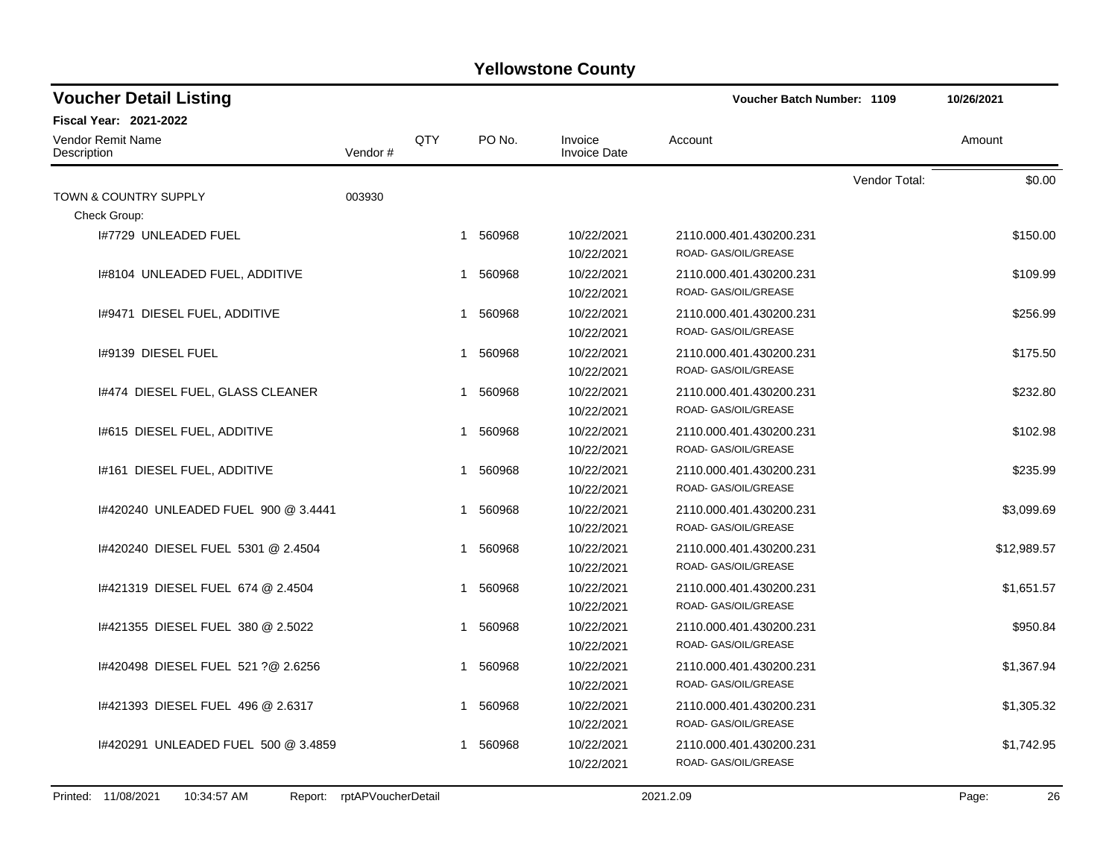| <b>Voucher Detail Listing</b>                                            |         |     |          |                                | <b>Voucher Batch Number: 1109</b>               |               | 10/26/2021  |  |
|--------------------------------------------------------------------------|---------|-----|----------|--------------------------------|-------------------------------------------------|---------------|-------------|--|
| <b>Fiscal Year: 2021-2022</b><br><b>Vendor Remit Name</b><br>Description | Vendor# | QTY | PO No.   | Invoice<br><b>Invoice Date</b> | Account                                         |               | Amount      |  |
|                                                                          |         |     |          |                                |                                                 | Vendor Total: | \$0.00      |  |
| <b>TOWN &amp; COUNTRY SUPPLY</b>                                         | 003930  |     |          |                                |                                                 |               |             |  |
| Check Group:                                                             |         |     |          |                                |                                                 |               |             |  |
| I#7729 UNLEADED FUEL                                                     |         |     | 1 560968 | 10/22/2021                     | 2110.000.401.430200.231                         |               | \$150.00    |  |
|                                                                          |         |     |          | 10/22/2021                     | ROAD- GAS/OIL/GREASE                            |               |             |  |
| 1#8104 UNLEADED FUEL, ADDITIVE                                           |         | 1   | 560968   | 10/22/2021                     | 2110.000.401.430200.231                         |               | \$109.99    |  |
|                                                                          |         |     |          | 10/22/2021                     | ROAD- GAS/OIL/GREASE                            |               |             |  |
| 1#9471 DIESEL FUEL, ADDITIVE                                             |         | 1   | 560968   | 10/22/2021                     | 2110.000.401.430200.231                         |               | \$256.99    |  |
|                                                                          |         |     |          | 10/22/2021                     | ROAD- GAS/OIL/GREASE                            |               |             |  |
| I#9139 DIESEL FUEL                                                       |         |     | 1 560968 | 10/22/2021                     | 2110.000.401.430200.231                         |               | \$175.50    |  |
|                                                                          |         |     |          | 10/22/2021                     | ROAD- GAS/OIL/GREASE                            |               |             |  |
| 1#474 DIESEL FUEL, GLASS CLEANER                                         |         | 1   | 560968   | 10/22/2021                     | 2110.000.401.430200.231                         |               | \$232.80    |  |
|                                                                          |         |     |          | 10/22/2021                     | ROAD- GAS/OIL/GREASE                            |               |             |  |
| 1#615 DIESEL FUEL, ADDITIVE                                              |         | 1   | 560968   | 10/22/2021                     | 2110.000.401.430200.231                         |               | \$102.98    |  |
|                                                                          |         |     |          | 10/22/2021                     | ROAD- GAS/OIL/GREASE                            |               |             |  |
| 1#161 DIESEL FUEL, ADDITIVE                                              |         | 1   | 560968   | 10/22/2021                     | 2110.000.401.430200.231                         |               | \$235.99    |  |
|                                                                          |         |     |          | 10/22/2021                     | ROAD- GAS/OIL/GREASE                            |               |             |  |
| 1#420240 UNLEADED FUEL 900 @ 3.4441                                      |         | 1   | 560968   | 10/22/2021                     | 2110.000.401.430200.231                         |               | \$3,099.69  |  |
|                                                                          |         |     |          | 10/22/2021                     | ROAD- GAS/OIL/GREASE                            |               |             |  |
| 1#420240 DIESEL FUEL 5301 @ 2.4504                                       |         | 1   | 560968   | 10/22/2021                     | 2110.000.401.430200.231                         |               | \$12,989.57 |  |
|                                                                          |         |     |          | 10/22/2021                     | ROAD- GAS/OIL/GREASE                            |               |             |  |
| 1#421319 DIESEL FUEL 674 @ 2.4504                                        |         | 1   | 560968   | 10/22/2021                     | 2110.000.401.430200.231                         |               | \$1,651.57  |  |
|                                                                          |         |     |          | 10/22/2021                     | ROAD- GAS/OIL/GREASE                            |               |             |  |
|                                                                          |         |     |          |                                |                                                 |               |             |  |
| 1#421355 DIESEL FUEL 380 @ 2.5022                                        |         | 1   | 560968   | 10/22/2021                     | 2110.000.401.430200.231<br>ROAD- GAS/OIL/GREASE |               | \$950.84    |  |
|                                                                          |         |     |          | 10/22/2021                     |                                                 |               |             |  |
| 1#420498 DIESEL FUEL 521 ?@ 2.6256                                       |         | 1   | 560968   | 10/22/2021                     | 2110.000.401.430200.231                         |               | \$1,367.94  |  |
|                                                                          |         |     |          | 10/22/2021                     | ROAD- GAS/OIL/GREASE                            |               |             |  |
| 1#421393 DIESEL FUEL 496 @ 2.6317                                        |         |     | 1 560968 | 10/22/2021                     | 2110.000.401.430200.231                         |               | \$1,305.32  |  |
|                                                                          |         |     |          | 10/22/2021                     | ROAD- GAS/OIL/GREASE                            |               |             |  |
| I#420291 UNLEADED FUEL 500 @ 3.4859                                      |         | 1   | 560968   | 10/22/2021                     | 2110.000.401.430200.231                         |               | \$1,742.95  |  |
|                                                                          |         |     |          | 10/22/2021                     | ROAD- GAS/OIL/GREASE                            |               |             |  |
|                                                                          |         |     |          |                                |                                                 |               |             |  |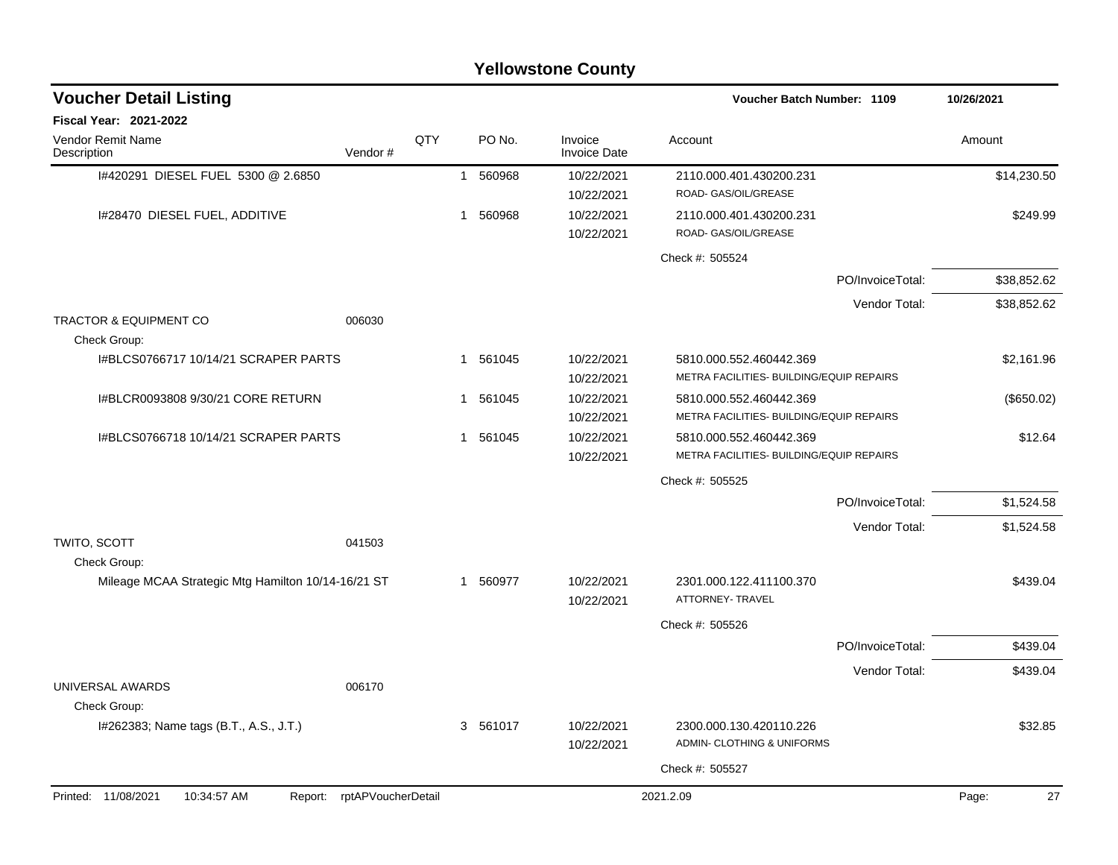|                                                    |                            |     |   |          | <b>Yellowstone County</b> |                                                                     |                  |             |
|----------------------------------------------------|----------------------------|-----|---|----------|---------------------------|---------------------------------------------------------------------|------------------|-------------|
| <b>Voucher Detail Listing</b>                      |                            |     |   |          |                           | Voucher Batch Number: 1109                                          | 10/26/2021       |             |
| Fiscal Year: 2021-2022                             |                            |     |   |          |                           |                                                                     |                  |             |
| Vendor Remit Name<br>Description                   | Vendor#                    | QTY |   | PO No.   | Invoice<br>Invoice Date   | Account                                                             |                  | Amount      |
| 1#420291 DIESEL FUEL 5300 @ 2.6850                 |                            |     | 1 | 560968   | 10/22/2021<br>10/22/2021  | 2110.000.401.430200.231<br>ROAD- GAS/OIL/GREASE                     |                  | \$14,230.50 |
| I#28470 DIESEL FUEL, ADDITIVE                      |                            |     | 1 | 560968   | 10/22/2021<br>10/22/2021  | 2110.000.401.430200.231<br>ROAD- GAS/OIL/GREASE                     |                  | \$249.99    |
|                                                    |                            |     |   |          |                           | Check #: 505524                                                     |                  |             |
|                                                    |                            |     |   |          |                           |                                                                     | PO/InvoiceTotal: | \$38,852.62 |
|                                                    |                            |     |   |          |                           |                                                                     | Vendor Total:    | \$38,852.62 |
| <b>TRACTOR &amp; EQUIPMENT CO</b><br>Check Group:  | 006030                     |     |   |          |                           |                                                                     |                  |             |
| I#BLCS0766717 10/14/21 SCRAPER PARTS               |                            |     | 1 | 561045   | 10/22/2021<br>10/22/2021  | 5810.000.552.460442.369<br>METRA FACILITIES- BUILDING/EQUIP REPAIRS |                  | \$2,161.96  |
| I#BLCR0093808 9/30/21 CORE RETURN                  |                            |     | 1 | 561045   | 10/22/2021<br>10/22/2021  | 5810.000.552.460442.369<br>METRA FACILITIES- BUILDING/EQUIP REPAIRS |                  | (\$650.02)  |
| I#BLCS0766718 10/14/21 SCRAPER PARTS               |                            |     | 1 | 561045   | 10/22/2021<br>10/22/2021  | 5810.000.552.460442.369<br>METRA FACILITIES- BUILDING/EQUIP REPAIRS |                  | \$12.64     |
|                                                    |                            |     |   |          |                           | Check #: 505525                                                     |                  |             |
|                                                    |                            |     |   |          |                           |                                                                     | PO/InvoiceTotal: | \$1,524.58  |
|                                                    |                            |     |   |          |                           |                                                                     | Vendor Total:    | \$1,524.58  |
| TWITO, SCOTT<br>Check Group:                       | 041503                     |     |   |          |                           |                                                                     |                  |             |
| Mileage MCAA Strategic Mtg Hamilton 10/14-16/21 ST |                            |     | 1 | 560977   | 10/22/2021<br>10/22/2021  | 2301.000.122.411100.370<br>ATTORNEY- TRAVEL                         |                  | \$439.04    |
|                                                    |                            |     |   |          |                           | Check #: 505526                                                     |                  |             |
|                                                    |                            |     |   |          |                           |                                                                     | PO/InvoiceTotal: | \$439.04    |
|                                                    |                            |     |   |          |                           |                                                                     | Vendor Total:    | \$439.04    |
| UNIVERSAL AWARDS<br>Check Group:                   | 006170                     |     |   |          |                           |                                                                     |                  |             |
| I#262383; Name tags (B.T., A.S., J.T.)             |                            |     |   | 3 561017 | 10/22/2021<br>10/22/2021  | 2300.000.130.420110.226<br>ADMIN- CLOTHING & UNIFORMS               |                  | \$32.85     |
|                                                    |                            |     |   |          |                           | Check #: 505527                                                     |                  |             |
| Printed: 11/08/2021<br>10:34:57 AM                 | Report: rptAPVoucherDetail |     |   |          |                           | 2021.2.09                                                           |                  | Page:<br>27 |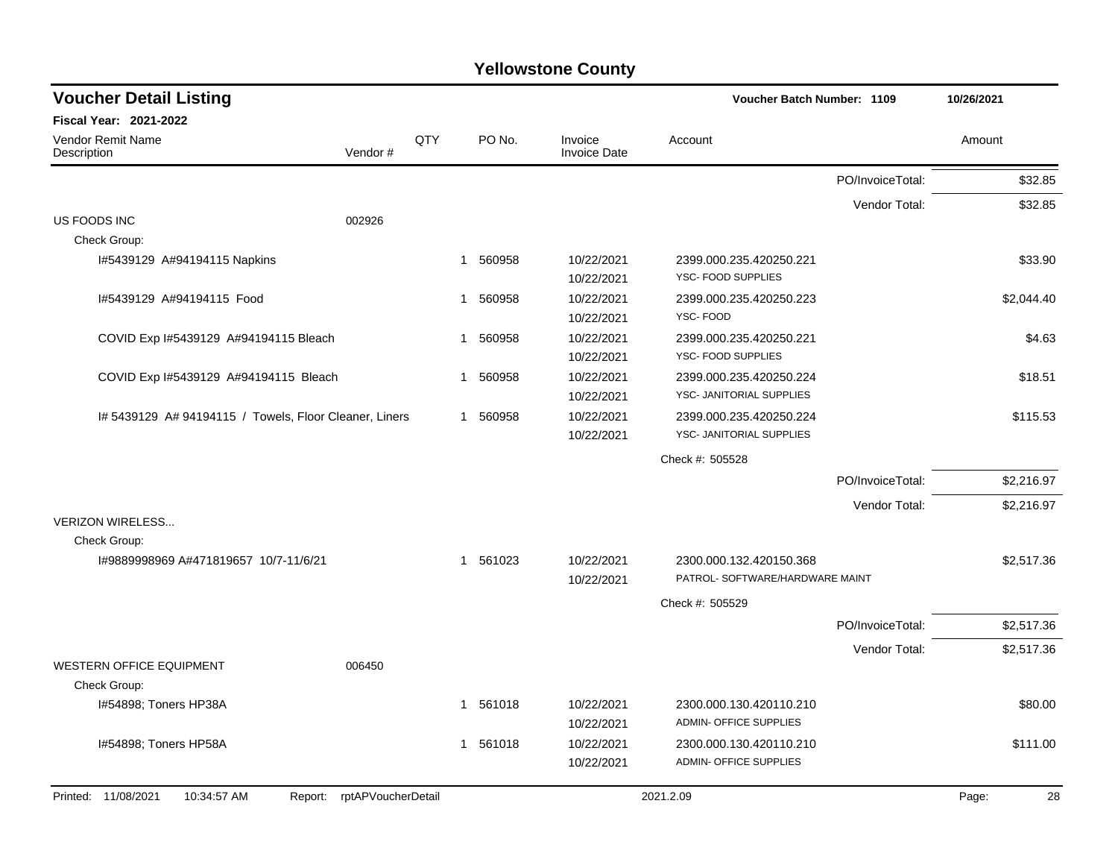| <b>Voucher Detail Listing</b>                                    |         |             |                       |                                        | Voucher Batch Number: 1109                                 |                  |             |  |  |
|------------------------------------------------------------------|---------|-------------|-----------------------|----------------------------------------|------------------------------------------------------------|------------------|-------------|--|--|
| <b>Fiscal Year: 2021-2022</b>                                    |         |             |                       |                                        |                                                            |                  |             |  |  |
| Vendor Remit Name<br>Description                                 | Vendor# | QTY         | PO No.                | Invoice<br><b>Invoice Date</b>         | Account                                                    |                  | Amount      |  |  |
|                                                                  |         |             |                       |                                        |                                                            | PO/InvoiceTotal: | \$32.85     |  |  |
|                                                                  |         |             |                       |                                        |                                                            | Vendor Total:    | \$32.85     |  |  |
| US FOODS INC<br>Check Group:                                     | 002926  |             |                       |                                        |                                                            |                  |             |  |  |
| I#5439129 A#94194115 Napkins                                     |         |             | 560958<br>$\mathbf 1$ | 10/22/2021<br>10/22/2021               | 2399.000.235.420250.221<br>YSC-FOOD SUPPLIES               |                  | \$33.90     |  |  |
| I#5439129 A#94194115 Food                                        |         | 1           | 560958                | 10/22/2021<br>10/22/2021               | 2399.000.235.420250.223<br>YSC-FOOD                        |                  | \$2,044.40  |  |  |
| COVID Exp I#5439129 A#94194115 Bleach                            |         | -1          | 560958                | 10/22/2021<br>10/22/2021               | 2399.000.235.420250.221<br>YSC- FOOD SUPPLIES              |                  | \$4.63      |  |  |
| COVID Exp I#5439129 A#94194115 Bleach                            |         | $\mathbf 1$ | 560958                | 10/22/2021<br>10/22/2021               | 2399.000.235.420250.224<br>YSC- JANITORIAL SUPPLIES        |                  | \$18.51     |  |  |
| I# 5439129 A# 94194115 / Towels, Floor Cleaner, Liners           |         | 1           | 560958                | 10/22/2021<br>10/22/2021               | 2399.000.235.420250.224<br>YSC- JANITORIAL SUPPLIES        |                  | \$115.53    |  |  |
|                                                                  |         |             |                       |                                        | Check #: 505528                                            |                  |             |  |  |
|                                                                  |         |             |                       |                                        |                                                            | PO/InvoiceTotal: | \$2,216.97  |  |  |
|                                                                  |         |             |                       |                                        |                                                            | Vendor Total:    | \$2,216.97  |  |  |
| <b>VERIZON WIRELESS</b>                                          |         |             |                       |                                        |                                                            |                  |             |  |  |
| Check Group:                                                     |         |             |                       |                                        |                                                            |                  |             |  |  |
| I#9889998969 A#471819657 10/7-11/6/21                            |         |             | 1 561023              | 10/22/2021<br>10/22/2021               | 2300.000.132.420150.368<br>PATROL- SOFTWARE/HARDWARE MAINT |                  | \$2,517.36  |  |  |
|                                                                  |         |             |                       |                                        | Check #: 505529                                            |                  |             |  |  |
|                                                                  |         |             |                       |                                        |                                                            | PO/InvoiceTotal: | \$2,517.36  |  |  |
|                                                                  |         |             |                       |                                        |                                                            | Vendor Total:    | \$2,517.36  |  |  |
| <b>WESTERN OFFICE EQUIPMENT</b>                                  | 006450  |             |                       |                                        |                                                            |                  |             |  |  |
| Check Group:<br>I#54898; Toners HP38A                            |         |             | 1 561018              | 10/22/2021                             | 2300.000.130.420110.210<br><b>ADMIN- OFFICE SUPPLIES</b>   |                  | \$80.00     |  |  |
| I#54898; Toners HP58A                                            |         |             | 1 561018              | 10/22/2021<br>10/22/2021<br>10/22/2021 | 2300.000.130.420110.210<br><b>ADMIN- OFFICE SUPPLIES</b>   |                  | \$111.00    |  |  |
| Printed: 11/08/2021<br>10:34:57 AM<br>Report: rptAPVoucherDetail |         |             |                       |                                        | 2021.2.09                                                  |                  | 28<br>Page: |  |  |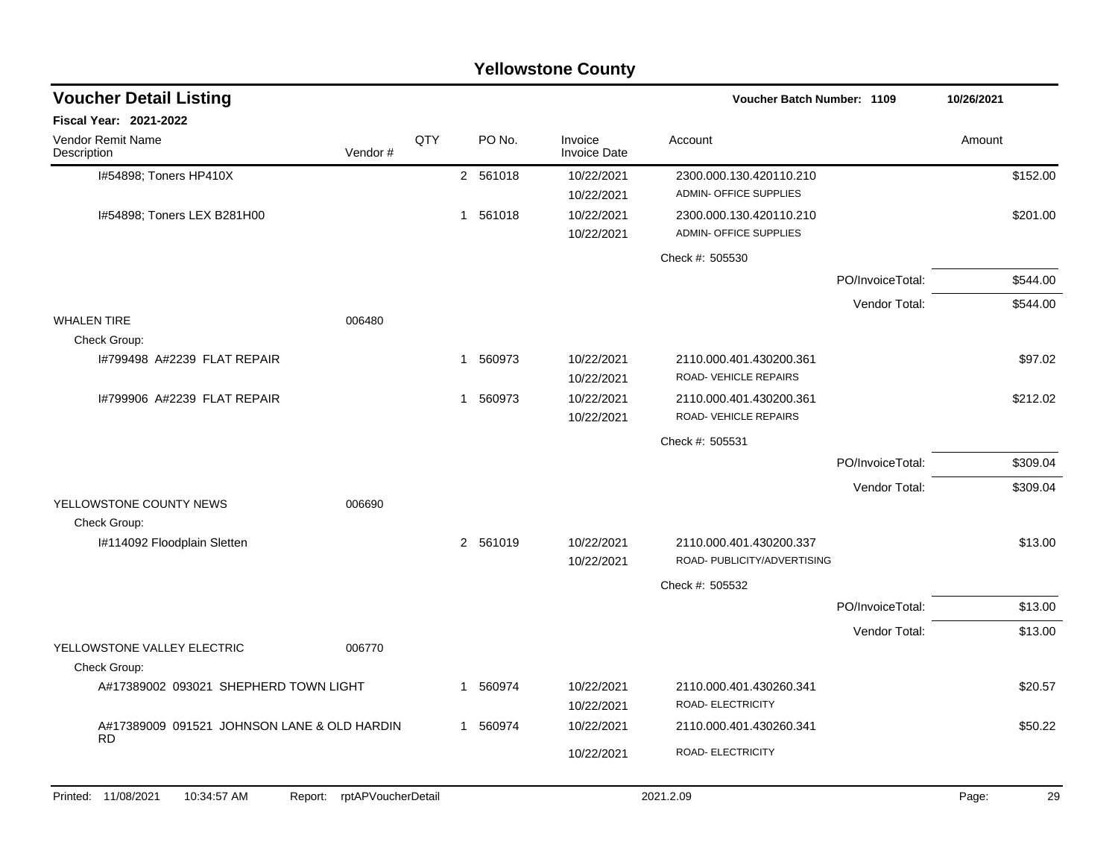|                                             |                            |     |              | <b>Yellowstone County</b>      |                                                        |                  |             |
|---------------------------------------------|----------------------------|-----|--------------|--------------------------------|--------------------------------------------------------|------------------|-------------|
| <b>Voucher Detail Listing</b>               |                            |     |              |                                | <b>Voucher Batch Number: 1109</b>                      |                  | 10/26/2021  |
| Fiscal Year: 2021-2022                      |                            |     |              |                                |                                                        |                  |             |
| Vendor Remit Name<br>Description            | Vendor#                    | QTY | PO No.       | Invoice<br><b>Invoice Date</b> | Account                                                |                  | Amount      |
| I#54898; Toners HP410X                      |                            |     | 2 561018     | 10/22/2021<br>10/22/2021       | 2300.000.130.420110.210<br>ADMIN- OFFICE SUPPLIES      |                  | \$152.00    |
| I#54898; Toners LEX B281H00                 |                            |     | 561018<br>1  | 10/22/2021<br>10/22/2021       | 2300.000.130.420110.210<br>ADMIN- OFFICE SUPPLIES      |                  | \$201.00    |
|                                             |                            |     |              |                                | Check #: 505530                                        |                  |             |
|                                             |                            |     |              |                                |                                                        | PO/InvoiceTotal: | \$544.00    |
|                                             |                            |     |              |                                |                                                        | Vendor Total:    | \$544.00    |
| <b>WHALEN TIRE</b><br>Check Group:          | 006480                     |     |              |                                |                                                        |                  |             |
| 1#799498 A#2239 FLAT REPAIR                 |                            |     | 560973<br>1  | 10/22/2021<br>10/22/2021       | 2110.000.401.430200.361<br>ROAD- VEHICLE REPAIRS       |                  | \$97.02     |
| I#799906 A#2239 FLAT REPAIR                 |                            |     | 560973<br>1  | 10/22/2021<br>10/22/2021       | 2110.000.401.430200.361<br>ROAD- VEHICLE REPAIRS       |                  | \$212.02    |
|                                             |                            |     |              |                                | Check #: 505531                                        |                  |             |
|                                             |                            |     |              |                                |                                                        | PO/InvoiceTotal: | \$309.04    |
|                                             |                            |     |              |                                |                                                        | Vendor Total:    | \$309.04    |
| YELLOWSTONE COUNTY NEWS<br>Check Group:     | 006690                     |     |              |                                |                                                        |                  |             |
| I#114092 Floodplain Sletten                 |                            |     | 2 561019     | 10/22/2021<br>10/22/2021       | 2110.000.401.430200.337<br>ROAD- PUBLICITY/ADVERTISING |                  | \$13.00     |
|                                             |                            |     |              |                                | Check #: 505532                                        |                  |             |
|                                             |                            |     |              |                                |                                                        | PO/InvoiceTotal: | \$13.00     |
|                                             |                            |     |              |                                |                                                        | Vendor Total:    | \$13.00     |
| YELLOWSTONE VALLEY ELECTRIC<br>Check Group: | 006770                     |     |              |                                |                                                        |                  |             |
| A#17389002 093021 SHEPHERD TOWN LIGHT       |                            |     | 560974<br>1. | 10/22/2021<br>10/22/2021       | 2110.000.401.430260.341<br>ROAD- ELECTRICITY           |                  | \$20.57     |
| A#17389009 091521 JOHNSON LANE & OLD HARDIN |                            |     | 1 560974     | 10/22/2021                     | 2110.000.401.430260.341                                |                  | \$50.22     |
| <b>RD</b>                                   |                            |     |              | 10/22/2021                     | ROAD- ELECTRICITY                                      |                  |             |
| Printed: 11/08/2021<br>10:34:57 AM          | Report: rptAPVoucherDetail |     |              |                                | 2021.2.09                                              |                  | Page:<br>29 |